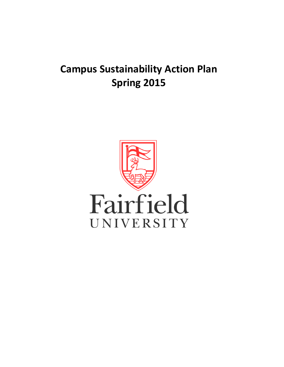# **Campus Sustainability Action Plan Spring 2015**

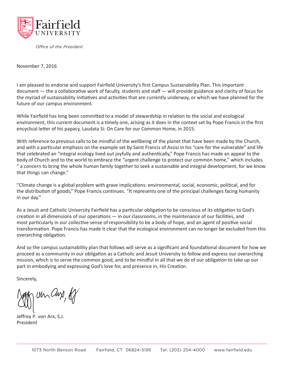

*Office of the President*

November 7, 2016

I am pleased to endorse and support Fairfield University's first Campus Sustainability Plan. This important document — the a collaborative work of faculty, students and staff — will provide guidance and clarity of focus for the myriad of sustainability initiatives and activities that are currently underway, or which we have planned for the future of our campus environment.

While Fairfield has long been committed to a model of stewardship in relation to the social and ecological environment, this current document is a timely one, arising as it does in the context set by Pope Francis in the first encyclical letter of his papacy, Laudata Si: On Care for our Common Home, in 2015.

With reference to previous calls to be mindful of the wellbeing of the planet that have been made by the Church, and with a particular emphasis on the example set by Saint Francis of Assisi in his "care for the vulnerable" and life that celebrated an "integral ecology lived out joyfully and authentically," Pope Francis has made an appeal to the body of Church and to the world to embrace the "urgent challenge to protect our common home," which includes " a concern to bring the whole human family together to seek a sustainable and integral development, for we know that things can change."

"Climate change is a global problem with grave implications: environmental, social, economic, political, and for the distribution of goods," Pope Francis continues. "It represents one of the principal challenges facing humanity in our day."

As a Jesuit and Catholic University Fairfield has a particular obligation to be conscious of its obligation to God's creation in all dimensions of our operations — in our classrooms, in the maintenance of our facilities, and most particularly in our collective sense of responsibility to be a body of hope, and an agent of positive social transformation. Pope Francis has made it clear that the ecological environment can no longer be excluded from this overarching obligation.

And so the campus sustainability plan that follows will serve as a significant and foundational document for how we proceed as a community in our obligation as a Catholic and Jesuit University to follow and express our overarching mission, which is to serve the common good, and to be mindful in all that we do of our obligation to take up our part in embodying and expressing God's love for, and presence in, His Creation.

Sincerely,

un Chr, of

Jeffrey P. von Arx, S.J. President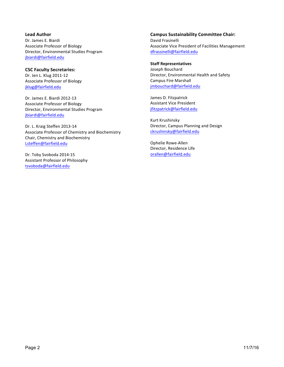**Lead Author** Dr. James E. Biardi Associate Professor of Biology Director, Environmental Studies Program jbiardi@fairfield.edu

**CSC Faculty Secretaries:** Dr. Jen L. Klug 2011-12 Associate Professor of Biology jklug@fairfield.edu

Dr. James E. Biardi 2012-13 Associate Professor of Biology Director, Environmental Studies Program jbiardi@fairfield.edu

Dr. L. Kraig Steffen 2013-14 Associate Professor of Chemistry and Biochemistry Chair, Chemistry and Biochemistry Lsteffen@fairfield.edu

Dr. Toby Svoboda 2014-15 Assistant Professor of Philosophy tsvoboda@fairfield.edu

**Campus Sustainability Committee Chair:** David Frasinelli Associate Vice President of Facilities Management dfrassinelli@fairfield.edu

#### **Staff Representatives**

Joseph Bouchard Director, Environmental Health and Safety Campus Fire Marshall jmbouchard@fairfield.edu

James D. Fitzpatrick **Assistant Vice President** jfitzpatrick@fairfield.edu

Kurt Krushinsky Director, Campus Planning and Design ckrushinsky@fairfield.edu

Ophelie Rowe-Allen Director, Residence Life orallen@fairfield.edu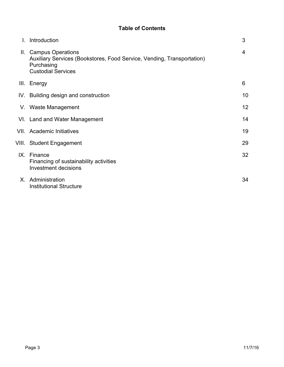# **Table of Contents**

| Introduction                                                                                                                               | 3  |
|--------------------------------------------------------------------------------------------------------------------------------------------|----|
| II. Campus Operations<br>Auxiliary Services (Bookstores, Food Service, Vending, Transportation)<br>Purchasing<br><b>Custodial Services</b> | 4  |
| III. Energy                                                                                                                                | 6  |
| IV. Building design and construction                                                                                                       | 10 |
| V. Waste Management                                                                                                                        | 12 |
| VI. Land and Water Management                                                                                                              | 14 |
| VII. Academic Initiatives                                                                                                                  | 19 |
| VIII. Student Engagement                                                                                                                   | 29 |
| IX. Finance<br>Financing of sustainability activities<br><b>Investment decisions</b>                                                       | 32 |
| X. Administration<br><b>Institutional Structure</b>                                                                                        | 34 |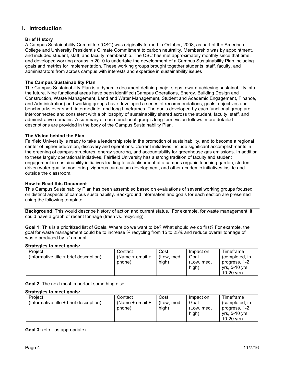# **I. Introduction**

# **Brief History**

A Campus Sustainability Committee (CSC) was originally formed in October, 2008, as part of the American College and University President's Climate Commitment to carbon neutrality. Membership was by appointment, and included student, staff, and faculty membership. The CSC has met approximately monthly since that time, and developed working groups in 2010 to undertake the development of a Campus Sustainability Plan including goals and metrics for implementation. These working groups brought together students, staff, faculty, and administrators from across campus with interests and expertise in sustainability issues

# **The Campus Sustainability Plan**

The Campus Sustainability Plan is a dynamic document defining major steps toward achieving sustainability into the future. Nine functional areas have been identified (Campus Operations, Energy, Building Design and Construction, Waste Management, Land and Water Management, Student and Academic Engagement, Finance, and Administration) and working groups have developed a series of recommendations, goals, objectives and benchmarks over short, intermediate, and long timeframes. The goals developed by each functional group are interconnected and consistent with a philosophy of sustainability shared across the student, faculty, staff, and administrative domains. A summary of each functional group's long-term vision follows; more detailed descriptions are provided in the body of the Campus Sustainability Plan.

# **The Vision behind the Plan**

Fairfield University is ready to take a leadership role in the promotion of sustainability, and to become a regional center of higher education, discovery and operations. Current initiatives include significant accomplishments in the greening of campus structures, energy sourcing, and accountability for greenhouse gas emissions. In addition to these largely operational initiatives, Fairfield University has a strong tradition of faculty and student engagement in sustainability initiatives leading to establishment of a campus organic teaching garden, studentdriven water quality monitoring, vigorous curriculum development, and other academic initiatives inside and outside the classroom.

#### **How to Read this Document**

This Campus Sustainability Plan has been assembled based on evaluations of several working groups focused on distinct aspects of campus sustainability. Background information and goals for each section are presented using the following template:

**Background**: This would describe history of action and current status. For example, for waste management, it could have a graph of recent tonnage (trash vs. recycling).

**Goal 1:** This is a prioritized list of Goals. Where do we want to be? What should we do first? For example, the goal for waste management could be to increase % recycling from 15 to 25% and reduce overall tonnage of waste produced by 'x' amount.

# **Strategies to meet goals:**

| Project<br>(Informative title + brief description) | Contact<br>(Name $+$ email $+$<br>phone) | Cost<br>(Low, med,<br>high) | Impact on<br>Goal<br>(Low, med,<br>high) | Timeframe<br>(completed, in<br>progress, 1-2<br>yrs, 5-10 yrs, |
|----------------------------------------------------|------------------------------------------|-----------------------------|------------------------------------------|----------------------------------------------------------------|
|                                                    |                                          |                             |                                          | $10-20$ vrs)                                                   |

**Goal 2**: The next most important something else…

#### **Strategies to meet goals:**

| Project                                 | Contact             | Cost       | Impact on  | Timeframe      |
|-----------------------------------------|---------------------|------------|------------|----------------|
| (Informative title + brief description) | (Name $+$ email $+$ | (Low. med. | Goal       | (completed, in |
|                                         | phone)              | high)      | (Low. med. | progress, 1-2  |
|                                         |                     |            | high)      | vrs. 5-10 vrs. |
|                                         |                     |            |            | $10-20$ vrs)   |

#### **Goal 3:** (etc…as appropriate)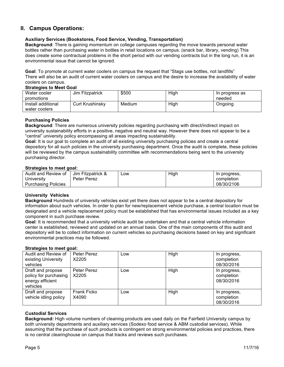# **II. Campus Operations:**

# **Auxiliary Services (Bookstores, Food Service, Vending, Transportation)**

**Background**: There is gaining momentum on college campuses regarding the move towards personal water bottles rather than purchasing water in bottles in retail locations on campus. (snack bar, library, vending) This does create some contractual problems in the short period with our vending contracts but in the long run, it is an environmental issue that cannot be ignored.

**Goal**: To promote at current water coolers on campus the request that "Stags use bottles, not landfills" There will also be an audit of current water coolers on campus and the desire to increase the availability of water coolers on campus.

#### **Strategies to Meet Goal**

| _ _ _ _ _ _ _ _ _ _ _ _ _ _ _ |                        |        |      |                |
|-------------------------------|------------------------|--------|------|----------------|
| Water cooler                  | Jim Fitzpatrick        | \$500  | High | In progress as |
| promotions                    |                        |        |      | needed         |
| Install additional            | <b>Curt Krushinsky</b> | Medium | High | Ongoing        |
| water coolers                 |                        |        |      |                |

#### **Purchasing Policies**

**Background**: There are numerous university policies regarding purchasing with direct/indirect impact on university sustainability efforts in a positive, negative and neutral way. However there does not appear to be a "central" university policy encompassing all areas impacting sustainability.

**Goal**: It is our goal to complete an audit of all existing university purchasing policies and create a central depository for all such policies in the university purchasing department. Once the audit is complete, these policies will be reviewed by the campus sustainability committee with recommendations being sent to the university purchasing director.

#### **Strategies to meet goal:**

| Audit and Review of | Jim Fitzpatrick & | ∟OW | High | In progress, |
|---------------------|-------------------|-----|------|--------------|
| University          | Peter Perez       |     |      | completion   |
| Purchasing Policies |                   |     |      | 08/30/2106   |

#### **University Vehicles**

**Background** Hundreds of university vehicles exist yet there does not appear to be a central depository for information about such vehicles. In order to plan for new/replacement vehicle purchase, a central location must be designated and a vehicle replacement policy must be established that has environmental issues included as a key component in such purchase review.

**Goal**: It is recommended that a university vehicle audit be undertaken and that a central vehicle information center is established, reviewed and updated on an annual basis. One of the main components of this audit and depository will be to collect information on current vehicles so purchasing decisions based on key and significant environmental practices may be followed.

#### **Strategies to meet goal:**

| Audit and Review of<br>existing University<br>vehicles                     | Peter Perez<br>X2205 | Low | High | In progress,<br>completion<br>08/30/2016 |
|----------------------------------------------------------------------------|----------------------|-----|------|------------------------------------------|
| Draft and propose<br>policy for purchasing<br>energy efficient<br>vehicles | Peter Perez<br>X2205 | Low | High | In progress,<br>completion<br>08/30/2016 |
| Draft and propose<br>vehicle idling policy                                 | Frank Ficko<br>X4090 | Low | High | In progress,<br>completion<br>08/30/2016 |

# **Custodial Services**

**Background:** High volume numbers of cleaning products are used daily on the Fairfield University campus by both university departments and auxiliary services (Sodexo food service & ABM custodial services). While assuming that the purchase of such products is contingent on strong environmental policies and practices, there is no central clearinghouse on campus that tracks and reviews such purchases.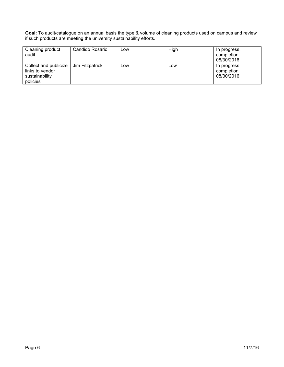**Goal:** To audit/catalogue on an annual basis the type & volume of cleaning products used on campus and review if such products are meeting the university sustainability efforts.

| Cleaning product<br>audit                                              | Candido Rosario | Low | High | In progress,<br>completion<br>08/30/2016 |
|------------------------------------------------------------------------|-----------------|-----|------|------------------------------------------|
| Collect and publicize<br>links to vendor<br>sustainability<br>policies | Jim Fitzpatrick | Low | Low  | In progress,<br>completion<br>08/30/2016 |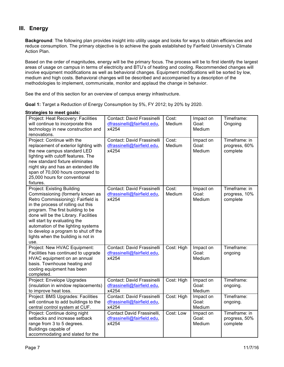# **III. Energy**

**Background**: The following plan provides insight into utility usage and looks for ways to obtain efficiencies and reduce consumption. The primary objective is to achieve the goals established by Fairfield University's Climate Action Plan.

Based on the order of magnitudes, energy will be the primary focus. The process will be to first identify the largest areas of usage on campus in terms of electricity and BTU's of heating and cooling. Recommended changes will involve equipment modifications as well as behavioral changes. Equipment modifications will be sorted by low, medium and high costs. Behavioral changes will be described and accompanied by a description of the methodologies to implement, communicate, monitor and applaud the change in behavior.

See the end of this section for an overview of campus energy infrastructure.

**Goal 1:** Target a Reduction of Energy Consumption by 5%, FY 2012; by 20% by 2020.

| ratogios to moot gouls.                                                                                                                                                                                                                                                                                                                                                             |                                                                    |                 |                              |                                            |
|-------------------------------------------------------------------------------------------------------------------------------------------------------------------------------------------------------------------------------------------------------------------------------------------------------------------------------------------------------------------------------------|--------------------------------------------------------------------|-----------------|------------------------------|--------------------------------------------|
| Project: Heat Recovery: Facilities<br>will continue to incorporate this<br>technology in new construction and<br>renovations.                                                                                                                                                                                                                                                       | Contact: David Frassinelli<br>dfrassinelli@fairfield.edu,<br>x4254 | Cost:<br>Medium | Impact on<br>Goal:<br>Medium | Timeframe:<br>Ongoing                      |
| Project: Continue with the<br>replacement of exterior lighting with<br>the new campus standard LED<br>lighting with cutoff features. The<br>new standard fixture eliminates<br>night sky and has an extended life<br>span of 70,000 hours compared to<br>25,000 hours for conventional<br>fixtures.                                                                                 | Contact: David Frassinelli<br>dfrassinelli@fairfield.edu,<br>x4254 | Cost:<br>Medium | Impact on<br>Goal:<br>Medium | Timeframe: in<br>progress, 60%<br>complete |
| Project: Existing Building<br>Commissioning (formerly known as<br>Retro Commissioning): Fairfield is<br>in the process of rolling out this<br>program. The first building to be<br>done will be the Library. Facilities<br>will start by evaluating the<br>automation of the lighting systems<br>to develop a program to shut off the<br>lights when the building is not in<br>use. | Contact: David Frassinelli<br>dfrassinelli@fairfield.edu,<br>x4254 | Cost:<br>Medium | Impact on<br>Goal:<br>Medium | Timeframe: in<br>progress, 10%<br>complete |
| Project: New HVAC Equipment:<br>Facilities has continued to upgrade<br>HVAC equipment on an annual<br>basis. Townhouse heating and<br>cooling equipment has been<br>completed.                                                                                                                                                                                                      | Contact: David Frassinelli<br>dfrassinelli@fairfield.edu,<br>x4254 | Cost: High      | Impact on<br>Goal:<br>Medium | Timeframe:<br>ongoing                      |
| Project: Envelope Upgrades<br>(insulation in window replacements)<br>to improve heat loss.                                                                                                                                                                                                                                                                                          | Contact: David Frassinelli<br>dfrassinelli@fairfield.edu,<br>x4254 | Cost: High      | Impact on<br>Goal:<br>Medium | Timeframe:<br>ongoing.                     |
| Project: BMS Upgrades: Facilities<br>will continue to add buildings to the<br>central control system at CUF.                                                                                                                                                                                                                                                                        | Contact: David Frassinelli<br>dfrassinelli@fairfield.edu,<br>x4254 | Cost: High      | Impact on<br>Goal:<br>Medium | Timeframe:<br>ongoing.                     |
| Project: Continue doing night<br>setbacks and increase setback<br>range from 3 to 5 degrees.<br>Buildings capable of<br>accommodating and slated for the                                                                                                                                                                                                                            | Contact David Frassinelli,<br>dfrassinelli@fairfield.edu,<br>x4254 | Cost: Low       | Impact on<br>Goal:<br>Medium | Timeframe: in<br>progress, 50%<br>complete |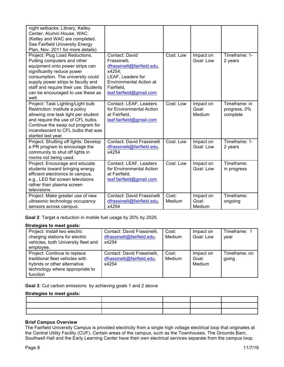| night setbacks; Library, Kelley<br>Center, Alumni House, WAC.<br>(Kelley and WAC are completed.<br>See Fairfield University Energy<br>Plan, Nov. 2011 for more details)                                                                                                                          |                                                                                                                                                                          |                 |                              |                                           |
|--------------------------------------------------------------------------------------------------------------------------------------------------------------------------------------------------------------------------------------------------------------------------------------------------|--------------------------------------------------------------------------------------------------------------------------------------------------------------------------|-----------------|------------------------------|-------------------------------------------|
| Project: Plug Load Reductions.<br>Putting computers and other<br>equipment onto power strips can<br>significantly reduce power<br>consumption. The university could<br>supply power strips to faculty and<br>staff and require their use. Students<br>can be encouraged to use these as<br>well. | Contact: David<br>Frassinelli,<br>dfrassinelli@fairfield.edu,<br>x4254;<br>LEAF, Leaders for<br><b>Environmental Action at</b><br>Fairfield,<br>leaf.fairfield@gmail.com | Cost: Low       | Impact on<br>Goal: Low       | Timeframe: 1-<br>2 years                  |
| Project: Task Lighting/Light bulb<br>Restriction: institute a policy<br>allowing one task light per student<br>and require the use of CFL bulbs.<br>Continue the swap out program for<br>incandescent to CFL bulbs that was<br>started last year.                                                | Contact: LEAF, Leaders<br>for Environmental Action<br>at Fairfield,<br>leaf.fairfield@gmail.com                                                                          | Cost: Low       | Impact on<br>Goal:<br>Medium | Timeframe: in<br>progress, 0%<br>complete |
| Project: Shutting off lights: Develop<br>a PR program to encourage the<br>community to shut off lights in<br>rooms not being used.                                                                                                                                                               | Contact: David Frassinelli<br>dfrassinelli@fairfield.edu,<br>x4254                                                                                                       | Cost: Low       | Impact on<br>Goal: Low       | Timeframe: 1-<br>2 years                  |
| Project: Encourage and educate<br>students toward bringing energy<br>efficient electronics to campus,<br>e.g., LED flat screen televisions<br>rather than plasma screen<br>televisions                                                                                                           | Contact: LEAF, Leaders<br>for Environmental Action<br>at Fairfield;<br>leaf.fairfield@gmail.com                                                                          | Cost: Low       | Impact on<br>Goal: Low       | Timeframe:<br>in progress                 |
| Project: Make greater use of new<br>ultrasonic technology occupancy<br>sensors across campus.                                                                                                                                                                                                    | Contact: David Frassinelli<br>dfrassinelli@fairfield.edu,<br>x4254                                                                                                       | Cost:<br>Medium | Impact on<br>Goal:<br>Medium | Timeframe:<br>ongoing                     |

**Goal 2**: Target a reduction in mobile fuel usage by 20% by 2025.

#### **Strategies to meet goals:**

| Project: Install two electric<br>charging stations for electric<br>vehicles, both University fleet and<br>employee.                            | Contact: David Frassinelli,<br>dfrassinelli@fairfield.edu,<br>x4254 | Cost:<br>Medium | Impact on<br>Goal: Low       | Timeframe: 1<br>vear   |
|------------------------------------------------------------------------------------------------------------------------------------------------|---------------------------------------------------------------------|-----------------|------------------------------|------------------------|
| Project: Continue to replace<br>traditional fleet vehicles with<br>hybrids or other alternative<br>technology where appropriate to<br>function | Contact: David Frassinelli,<br>dfrassinelli@fairfield.edu,<br>x4254 | Cost:<br>Medium | Impact on<br>Goal:<br>Medium | Timeframe: on<br>going |

**Goal 3**: Cut carbon emissions by achieving goals 1 and 2 above

#### **Strategies to meet goals:**

## **Brief Campus Overview**

The Fairfield University Campus is provided electricity from a single high voltage electrical loop that originates at the Central Utility Facility (CUF). Certain areas of the campus, such as the Townhouses, The Grounds Barn, Southwell Hall and the Early Learning Center have their own electrical services separate from the campus loop.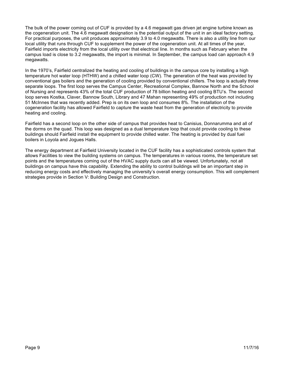The bulk of the power coming out of CUF is provided by a 4.6 megawatt gas driven jet engine turbine known as the cogeneration unit. The 4.6 megawatt designation is the potential output of the unit in an ideal factory setting. For practical purposes, the unit produces approximately 3.9 to 4.0 megawatts. There is also a utility line from our local utility that runs through CUF to supplement the power of the cogeneration unit. At all times of the year, Fairfield imports electricity from the local utility over that electrical line. In months such as February when the campus load is close to 3.2 megawatts, the import is minimal. In September, the campus load can approach 4.9 megawatts.

In the 1970's, Fairfield centralized the heating and cooling of buildings in the campus core by installing a high temperature hot water loop (HTHW) and a chilled water loop (CW). The generation of the heat was provided by conventional gas boilers and the generation of cooling provided by conventional chillers. The loop is actually three separate loops. The first loop serves the Campus Center, Recreational Complex, Bannow North and the School of Nursing and represents 43% of the total CUF production of 78 billion heating and cooling BTU's. The second loop serves Kostka, Claver, Bannow South, Library and 47 Mahan representing 49% of production not including 51 McInnes that was recently added. Prep is on its own loop and consumes 8%. The installation of the cogeneration facility has allowed Fairfield to capture the waste heat from the generation of electricity to provide heating and cooling.

Fairfield has a second loop on the other side of campus that provides heat to Canisius, Donnarumma and all of the dorms on the quad. This loop was designed as a dual temperature loop that could provide cooling to these buildings should Fairfield install the equipment to provide chilled water. The heating is provided by dual fuel boilers in Loyola and Jogues Halls.

The energy department at Fairfield University located in the CUF facility has a sophisticated controls system that allows Facilities to view the building systems on campus. The temperatures in various rooms, the temperature set points and the temperatures coming out of the HVAC supply ducts can all be viewed. Unfortunately, not all buildings on campus have this capability. Extending the ability to control buildings will be an important step in reducing energy costs and effectively managing the university's overall energy consumption. This will complement strategies provide in Section V: Building Design and Construction.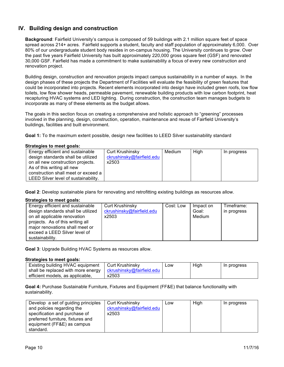# **IV. Building design and construction**

**Background**: Fairfield University's campus is composed of 59 buildings with 2.1 million square feet of space spread across 214+ acres. Fairfield supports a student, faculty and staff population of approximately 6,000. Over 80% of our undergraduate student body resides in on-campus housing. The University continues to grow. Over the past five years Fairfield University has built approximately 220,000 gross square feet (GSF) and renovated 30,000 GSF. Fairfield has made a commitment to make sustainability a focus of every new construction and renovation project.

Building design, construction and renovation projects impact campus sustainability in a number of ways. In the design phases of these projects the Department of Facilities will evaluate the feasibility of green features that could be incorporated into projects. Recent elements incorporated into design have included green roofs, low flow toilets, low flow shower heads, permeable pavement, renewable building products with low carbon footprint, heat recapturing HVAC systems and LED lighting. During construction, the construction team manages budgets to incorporate as many of these elements as the budget allows.

The goals in this section focus on creating a comprehensive and holistic approach to "greening" processes involved in the planning, design, construction, operation, maintenance and reuse of Fairfield University's buildings, facilities and built environment.

**Goal 1:** To the maximum extent possible, design new facilities to LEED Silver sustainability standard

#### **Strategies to meet goals:**

| Energy efficient and sustainable     | Curt Krushinsky           | Medium | High | In progress |
|--------------------------------------|---------------------------|--------|------|-------------|
| design standards shall be utilized   | ckrushinsky@fairfield.edu |        |      |             |
| on all new construction projects.    | x2503                     |        |      |             |
| As of this writing all new           |                           |        |      |             |
| construction shall meet or exceed a  |                           |        |      |             |
| LEED Silver level of sustainability. |                           |        |      |             |

**Goal 2**: Develop sustainable plans for renovating and retrofitting existing buildings as resources allow.

#### **Strategies to meet goals:**

| Energy efficient and sustainable   | <b>Curt Krushinsky</b>    | Cost: Low | Impact on | Timeframe:  |
|------------------------------------|---------------------------|-----------|-----------|-------------|
| design standards shall be utilized | ckrushinsky@fairfield.edu |           | Goal:     | in progress |
| on all applicable renovation       | x2503                     |           | Medium    |             |
| projects. As of this writing all   |                           |           |           |             |
| major renovations shall meet or    |                           |           |           |             |
| exceed a LEED Silver level of      |                           |           |           |             |
| sustainability.                    |                           |           |           |             |

**Goal 3**: Upgrade Building HVAC Systems as resources allow.

#### **Strategies to meet goals:**

| Existing building HVAC equipment   | Curt Krushinskv           | ∟ow | High | In progress |
|------------------------------------|---------------------------|-----|------|-------------|
| shall be replaced with more energy | ckrushinsky@fairfield.edu |     |      |             |
| efficient models, as applicable,   | x2503                     |     |      |             |

**Goal 4:** Purchase Sustainable Furniture, Fixtures and Equipment (FF&E) that balance functionality with sustainability.

| Develop a set of guiding principles | <b>Curt Krushinsky</b>    | Low | High | In progress |
|-------------------------------------|---------------------------|-----|------|-------------|
| and policies regarding the          | ckrushinsky@fairfield.edu |     |      |             |
| specification and purchase of       | x2503                     |     |      |             |
| preferred furniture, fixtures and   |                           |     |      |             |
| equipment (FF&E) as campus          |                           |     |      |             |
| standard.                           |                           |     |      |             |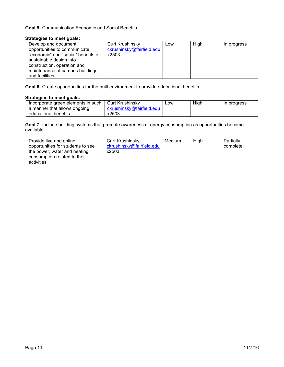**Goal 5:** Communication Economic and Social Benefits.

# **Strategies to meet goals:**

| Develop and document                | <b>Curt Krushinsky</b>    | Low | High | In progress |
|-------------------------------------|---------------------------|-----|------|-------------|
| opportunities to communicate        | ckrushinsky@fairfield.edu |     |      |             |
| "economic" and "social" benefits of | x2503                     |     |      |             |
| sustainable design into             |                           |     |      |             |
| construction, operation and         |                           |     |      |             |
| maintenance of campus buildings     |                           |     |      |             |
| and facilities.                     |                           |     |      |             |

**Goal 6:** Create opportunities for the built environment to provide educational benefits

# **Strategies to meet goals:**

| Incorporate green elements in such | Curt Krushinskv           | ∟0W | High | In progress |
|------------------------------------|---------------------------|-----|------|-------------|
| a manner that allows ongoing       | ckrushinsky@fairfield.edu |     |      |             |
| educational benefits               | x2503                     |     |      |             |

**Goal 7:** Include building systems that promote awareness of energy consumption as opportunities become available.

| Provide live and online<br>opportunities for students to see<br>the power, water and heating | Curt Krushinsky<br>ckrushinsky@fairfield.edu<br>x2503 | Medium | High | Partially<br>complete |
|----------------------------------------------------------------------------------------------|-------------------------------------------------------|--------|------|-----------------------|
| consumption related to their                                                                 |                                                       |        |      |                       |
| activities                                                                                   |                                                       |        |      |                       |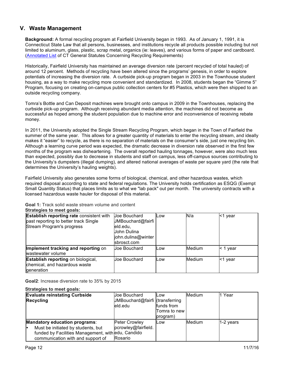# **V. Waste Management**

**Background:** A formal recycling program at Fairfield University began in 1993. As of January 1, 1991, it is Connecticut State Law that all persons, businesses, and institutions recycle all products possible including but not limited to aluminum, glass, plastic, scrap metal, organics (ie: leaves), and various forms of paper and cardboard. (Annotated List of CT General Statutes Concerning Recycling Requirements)

Historically, Fairfield University has maintained an average diversion rate (percent recycled of total hauled) of around 12 percent. Methods of recycling have been altered since the programs' genesis, in order to explore potentials of increasing the diversion rate. A curbside pick-up program began in 2003 in the Townhouse student housing, as a way to make recycling more convenient and standardized. In 2008, students began the "Gimme 5" Program, focusing on creating on-campus public collection centers for #5 Plastics, which were then shipped to an outside recycling company.

Tomra's Bottle and Can Deposit machines were brought onto campus in 2009 in the Townhouses, replacing the curbside pick-up program. Although receiving abundant media attention, the machines did not become as successful as hoped among the student population due to machine error and inconvenience of receiving rebate money.

In 2011, the University adopted the Single Stream Recycling Program, which began in the Town of Fairfield the summer of the same year. This allows for a greater quantity of materials to enter the recycling stream, and ideally makes it "easier" to recycle, as there is no separation of materials on the consumer's side, just one recycling bin. Although a learning curve period was expected, the dramatic decrease in diversion rate observed in the first few months of the program was disheartening. The overall reported hauling tonnages, however, were also much less than expected, possibly due to decrease in students and staff on campus, less off-campus sources contributing to the University's dumpsters (illegal dumping), and altered national averages of waste per square yard (the rate that determines the University's hauling weights).

Fairfield University also generates some forms of biological, chemical, and other hazardous wastes, which required disposal according to state and federal regulations. The University holds certification as ESQG (Exempt Small Quantity Status) that places limits as to what we "lab pack" out per month. The university contracts with a licensed hazardous waste hauler for disposal of this material.

**Goal 1:** Track solid waste stream volume and content

| <b>Establish reporting rate consistent with</b><br>past reporting to better track Single<br>Stream Program's progress | Joe Bouchard<br>JMBouchard@fairfi<br>eld.edu,<br>John Dulina<br>john.dulina@winter<br>lsbrosct.com | Low | N/a           | <1 year  |
|-----------------------------------------------------------------------------------------------------------------------|----------------------------------------------------------------------------------------------------|-----|---------------|----------|
| Implement tracking and reporting on<br>wastewater volume                                                              | Joe Bouchard                                                                                       | Low | <b>Medium</b> | < 1 year |
| <b>Establish reporting on biological,</b><br>chemical, and hazardous waste<br>generation                              | Joe Bouchard                                                                                       | Low | <b>Medium</b> | <1 year  |

**Goal2**: Increase diversion rate to 35% by 2015

| <b>Evaluate reinstating Curbside</b>               | Uoe Bouchard                    | <b>ILOW</b>  | Medium        | 1 Year      |
|----------------------------------------------------|---------------------------------|--------------|---------------|-------------|
| <b>Recycling</b>                                   | JMBouchard@fairfi (transferring |              |               |             |
|                                                    | leld.edu                        | funds from   |               |             |
|                                                    |                                 | Tomra to new |               |             |
|                                                    |                                 | program)     |               |             |
| <b>Mandatory education programs:</b>               | <b>Peter Crowley</b>            | <b>ILOW</b>  | <b>Medium</b> | $1-2$ years |
| Must be initiated by students, but<br>le           | pcrowley@fairfield.             |              |               |             |
| funded by Facilities Management, with edu, Candido |                                 |              |               |             |
| communication with and support of                  | Rosario                         |              |               |             |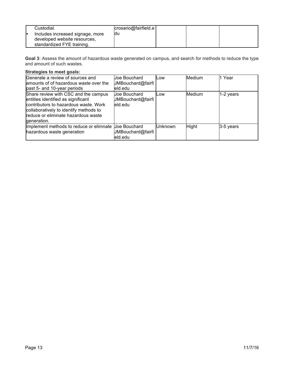| Custodial.<br>Includes increased signage, more             | crosario@fairfield.e<br>ldu |  |  |
|------------------------------------------------------------|-----------------------------|--|--|
| developed website resources,<br>standardized FYE training. |                             |  |  |

**Goal 3**: Assess the amount of hazardous waste generated on campus, and search for methods to reduce the type and amount of such wastes.

| Generate a review of sources and<br>amounts of of hazardous waste over the<br>past 5- and 10-year periods                                                                                                           | Joe Bouchard<br>JMBouchard@fairfi<br>eld.edu | Low     | <b>Medium</b> | 1 Year    |
|---------------------------------------------------------------------------------------------------------------------------------------------------------------------------------------------------------------------|----------------------------------------------|---------|---------------|-----------|
| Share review with CSC and the campus<br>entities identified as significant<br>contributors to hazardous waste. Work<br>collaboratively to identify methods to<br>reduce or eliminate hazardous waste<br>generation. | Joe Bouchard<br>JMBouchard@fairfi<br>eld.edu | Low     | Medium        | 1-2 years |
| Implement methods to reduce or elimnate<br>hazardous waste generation                                                                                                                                               | Joe Bouchard<br>JMBouchard@fairfi<br>eld.edu | Unknown | <b>Hight</b>  | 3-5 years |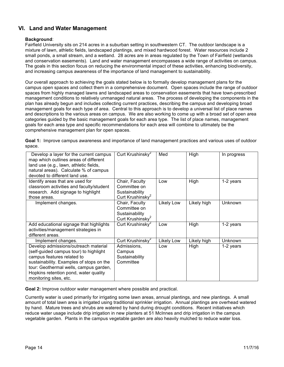# **VI. Land and Water Management**

# **Background**:

Fairfield University sits on 214 acres in a suburban setting in southwestern CT. The outdoor landscape is a mixture of lawn, athletic fields, landscaped plantings, and mixed hardwood forest. Water resources include 2 small ponds, a small stream, and a wetland. 28 acres are in areas regulated by the Town of Fairfield (wetlands and conservation easements). Land and water management encompasses a wide range of activities on campus. The goals in this section focus on reducing the environmental impact of these activities, enhancing biodiversity, and increasing campus awareness of the importance of land management to sustainability.

Our overall approach to achieving the goals stated below is to formally develop management plans for the campus open spaces and collect them in a comprehensive document. Open spaces include the range of outdoor spaces from highly managed lawns and landscaped areas to conservation easements that have town-prescribed management conditions to relatively unmanaged natural areas. The process of developing the components in the plan has already begun and includes collecting current practices, describing the campus and developing broad management goals for each type of area. Central to this approach is to develop a universal list of place names and descriptions to the various areas on campus. We are also working to come up with a broad set of open area categories guided by the basic management goals for each area type. The list of place names, management goals for each area type and specific recommendations for each area will combine to ultimately be the comprehensive management plan for open spaces.

|        | Goal 1: Improve campus awareness and importance of land management practices and various uses of outdoor |  |  |
|--------|----------------------------------------------------------------------------------------------------------|--|--|
| space. |                                                                                                          |  |  |

| Develop a layer for the current campus<br>map which outlines areas of different<br>land use (e.g., lawn, athletic fields,<br>natural areas). Calculate % of campus<br>devoted to different land use.                                                                  | Curt Krushinsky <sup>2</sup>                                                     | Med        | High        | In progress    |
|-----------------------------------------------------------------------------------------------------------------------------------------------------------------------------------------------------------------------------------------------------------------------|----------------------------------------------------------------------------------|------------|-------------|----------------|
| Identify areas that are used for<br>classroom activities and faculty/student<br>research. Add signage to highlight<br>those areas.                                                                                                                                    | Chair, Faculty<br>Committee on<br>Sustainability<br>Curt Krushinsky <sup>2</sup> | Low        | High        | 1-2 years      |
| Implement changes.                                                                                                                                                                                                                                                    | Chair, Faculty<br>Committee on<br>Sustainability<br>Curt Krushinsky <sup>2</sup> | Likely Low | Likely high | <b>Unknown</b> |
| Add educational signage that highlights<br>activities/management strategies in<br>different areas.                                                                                                                                                                    | Curt Krushinsky <sup>2</sup>                                                     | Low        | High        | 1-2 years      |
| Implement changes.                                                                                                                                                                                                                                                    | Curt Krushinsky <sup>2</sup>                                                     | Likely Low | Likely high | <b>Unknown</b> |
| Develop admissions/outreach material<br>(self-guided campus tour) to highlight<br>campus features related to<br>sustainability. Examples of stops on the<br>tour: Geothermal wells, campus garden,<br>Hopkins retention pond, water quality<br>monitoring sites, etc. | Admissions.<br>Campus<br>Sustainability<br>Committee                             | Low        | High        | 1-2 years      |

**Goal 2:** Improve outdoor water management where possible and practical.

Currently water is used primarily for irrigating some lawn areas, annual plantings, and new plantings. A small amount of total lawn area is irrigated using traditional sprinkler irrigation. Annual plantings are overhead watered by hand. Mature trees and shrubs are watered by hand during drought conditions. Recent initiatives which reduce water usage include drip irrigation in new planters at 51 McInnes and drip irrigation in the campus vegetable garden. Plants in the campus vegetable garden are also heavily mulched to reduce water loss.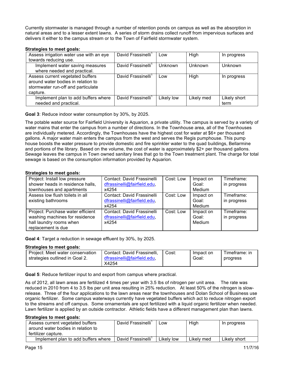Currently stormwater is managed through a number of retention ponds on campus as well as the absorption in natural areas and to a lesser extent lawns. A series of storm drains collect runoff from impervious surfaces and delivers it either to the campus stream or to the Town of Fairfield stormwater system.

#### **Strategies to meet goals:**

| Assess irrigation water use with an eye                                                                                  | David Frassinelli <sup>1</sup> | Low            | High           | In progress          |
|--------------------------------------------------------------------------------------------------------------------------|--------------------------------|----------------|----------------|----------------------|
| towards reducing use.                                                                                                    |                                |                |                |                      |
| Implement water saving measures<br>where needed and practical.                                                           | David Frassinelli <sup>1</sup> | <b>Unknown</b> | <b>Unknown</b> | Unknown              |
| Assess current vegetated buffers<br>around water bodies in relation to<br>stormwater run-off and particulate<br>capture. | David Frassinelli <sup>1</sup> | Low            | High           | In progress          |
| Implement plan to add buffers where<br>needed and practical.                                                             | David Frassinelli <sup>1</sup> | Likely low     | Likely med     | Likely short<br>term |

**Goal 3**: Reduce indoor water consumption by 30%, by 2025.

The potable water source for Fairfield University is Aquarion, a private utility. The campus is served by a variety of water mains that enter the campus from a number of directions. In the Townhouse area, all of the Townhouses are individually metered. Accordingly, the Townhouses have the highest cost for water at \$6+ per thousand gallons. A major water main enters the campus from the west and serves the Regis pumphouse. This pump house boosts the water pressure to provide domestic and fire sprinkler water to the quad buildings, Bellarmine and portions of the library. Based on the volume, the cost of water is approximately \$2+ per thousand gallons. Sewage leaves the campus in Town owned sanitary lines that go to the Town treatment plant. The charge for total sewage is based on the consumption information provided by Aquarion.

#### **Strategies to meet goals:**

| Project: Install low pressure<br>shower heads in residence halls,<br>townhouses and apartments                       | Contact: David Frassinelli<br>dfrassinelli@fairfield.edu,<br>x4254 | Cost: Low | Impact on<br>Goal:<br>Medium | Timeframe:<br>in progress |
|----------------------------------------------------------------------------------------------------------------------|--------------------------------------------------------------------|-----------|------------------------------|---------------------------|
| Assess low flush toilets in all<br>existing bathrooms                                                                | Contact: David Frassinelli<br>dfrassinelli@fairfield.edu,<br>x4254 | Cost: Low | Impact on<br>Goal:<br>Medium | Timeframe:<br>in progress |
| Project: Purchase water efficient<br>washing machines for residence<br>hall laundry rooms when<br>replacement is due | Contact: David Frassinelli<br>dfrassinelli@fairfield.edu,<br>x4254 | Cost: Low | Impact on<br>Goal:<br>Medium | Timeframe:<br>in progress |

**Goal 4**: Target a reduction in sewage effluent by 30%, by 2025.

# **Strategies to meet goals:**

| Project: Meet water conservation | Contact: David Frassinelli, | Cost∶ | Impact on | Timetrame: in |
|----------------------------------|-----------------------------|-------|-----------|---------------|
| strategies outlined in Goal 2.   | dfrassinelli@fairfield.edu. |       | Goal:     | progress      |
|                                  | X4254                       |       |           |               |

**Goal 5**: Reduce fertilizer input to and export from campus where practical.

As of 2012, all lawn areas are fertilized 4 times per year with 3.5 lbs of nitrogen per unit area. The rate was reduced in 2010 from 4 to 3.5 lbs per unit area resulting in 25% reduction. At least 50% of the nitrogen is slowrelease. Three of the four applications to the lawn areas near the townhouses and Dolan School of Business use organic fertilizer. Some campus waterways currently have vegetated buffers which act to reduce nitrogen export to the streams and off campus. Some ornamentals are spot fertilized with a liquid organic fertilizer when needed. Lawn fertilizer is applied by an outside contractor. Athletic fields have a different management plan than lawns.

| Assess current vegetated buffers<br>around water bodies in relation to<br>fertilizer capture. | David Frassinelli              | Low        | High       | In progress  |
|-----------------------------------------------------------------------------------------------|--------------------------------|------------|------------|--------------|
| Implement plan to add buffers where                                                           | David Frassinelli <sup>1</sup> | Likely low | Likelv med | Likelv short |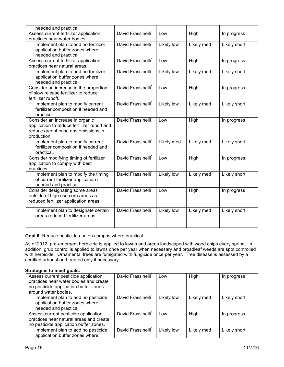| needed and practical.                                                             |                                |            |            |              |
|-----------------------------------------------------------------------------------|--------------------------------|------------|------------|--------------|
| Assess current fertilizer application                                             | David Frassinelli <sup>1</sup> | Low        | High       | In progress  |
| practices near water bodies.                                                      |                                |            |            |              |
| Implement plan to add no fertilizer                                               | David Frassinelli <sup>1</sup> | Likely low | Likely med | Likely short |
| application buffer zones where                                                    |                                |            |            |              |
| needed and practical.                                                             |                                |            |            |              |
| Assess current fertilizer application                                             | David Frassinelli <sup>1</sup> | Low        | High       | In progress  |
| practices near natural areas.                                                     |                                |            |            |              |
| Implement plan to add no fertilizer                                               | David Frassinelli <sup>1</sup> | Likely low | Likely med | Likely short |
| application buffer zones where                                                    |                                |            |            |              |
| needed and practical.                                                             |                                |            |            |              |
| Consider an increase in the proportion                                            | David Frassinelli <sup>1</sup> | Low        | High       | In progress  |
| of slow release fertilizer to reduce                                              |                                |            |            |              |
| fertilizer runoff.                                                                |                                |            |            |              |
| Implement plan to modify current                                                  | David Frassinelli <sup>1</sup> | Likely low | Likely med | Likely short |
| fertilizer composition if needed and                                              |                                |            |            |              |
| practical.                                                                        |                                |            |            |              |
| Consider an increase in organic                                                   | David Frassinelli <sup>1</sup> | Low        | High       | In progress  |
| application to reduce fertilizer runoff and<br>reduce greenhouse gas emissions in |                                |            |            |              |
| production.                                                                       |                                |            |            |              |
| Implement plan to modify current                                                  | David Frassinelli <sup>1</sup> | Likely med | Likely med | Likely short |
| fertilizer composition if needed and                                              |                                |            |            |              |
| practical.                                                                        |                                |            |            |              |
| Consider modifying timing of fertilizer                                           | David Frassinelli <sup>1</sup> | Low        | High       | In progress  |
| application to comply with best                                                   |                                |            |            |              |
| practices.                                                                        |                                |            |            |              |
| Implement plan to modify the timing                                               | David Frassinelli <sup>1</sup> | Likely low | Likely med | Likely short |
| of current fertilizer application if                                              |                                |            |            |              |
| needed and practical.                                                             |                                |            |            |              |
| Consider designating some areas                                                   | David Frassinelli <sup>1</sup> | Low        | High       | In progress  |
| outside of high use core areas as                                                 |                                |            |            |              |
| reduced fertilizer application areas.                                             |                                |            |            |              |
|                                                                                   |                                |            |            |              |
| Implement plan to designate certain                                               | David Frassinelli <sup>1</sup> | Likely low | Likely med | Likely short |
| areas reduced fertilizer areas.                                                   |                                |            |            |              |
|                                                                                   |                                |            |            |              |

**Goal 6:** Reduce pesticide use on campus where practical.

As of 2012, pre-emergent herbicide is applied to lawns and areas landscaped with wood chips every spring. In addition, grub control is applied to lawns once per year when necessary and broadleaf weeds are spot controlled with herbicide. Ornamental trees are fumigated with fungicide once per year. Tree disease is assessed by a certified arborist and treated only if necessary.

| Assess current pesticide application<br>practices near water bodies and create<br>no pesticide application buffer zones<br>around water bodies. | David Frassinelli <sup>1</sup> | Low        | High       | In progress  |
|-------------------------------------------------------------------------------------------------------------------------------------------------|--------------------------------|------------|------------|--------------|
| Implement plan to add no pesticide<br>application buffer zones where<br>needed and practical.                                                   | David Frassinelli              | Likely low | Likely med | Likely short |
| Assess current pesticide application<br>practices near natural areas and create<br>no pesticide application buffer zones.                       | David Frassinelli <sup>1</sup> | Low        | High       | In progress  |
| Implement plan to add no pesticide<br>application buffer zones where                                                                            | David Frassinelli'             | Likely low | Likely med | Likely short |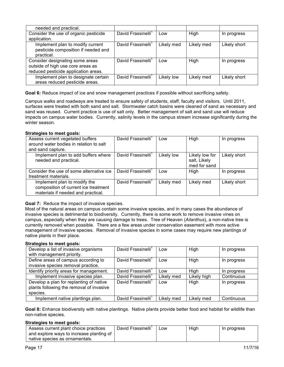| needed and practical.                 |                                |            |            |              |
|---------------------------------------|--------------------------------|------------|------------|--------------|
| Consider the use of organic pesticide | David Frassinelli <sup>1</sup> | Low        | High       | In progress  |
| application.                          |                                |            |            |              |
| Implement plan to modify current      | David Frassinelli <sup>1</sup> | Likely med | Likely med | Likely short |
| pesticide composition if needed and   |                                |            |            |              |
| practical.                            |                                |            |            |              |
| Consider designating some areas       | David Frassinelli              | Low        | High       | In progress  |
| outside of high use core areas as     |                                |            |            |              |
| reduced pesticide application areas.  |                                |            |            |              |
| Implement plan to designate certain   | David Frassinelli <sup>1</sup> | Likely low | Likely med | Likely short |
| areas reduced pesticide areas.        |                                |            |            |              |

**Goal 6:** Reduce impact of ice and snow management practices if possible without sacrificing safety.

Campus walks and roadways are treated to ensure safety of students, staff, faculty and visitors. Until 2011, surfaces were treated with both sand and salt. Stormwater catch basins were cleaned of sand as necessary and sand was reused. Current practice is use of salt only. Better management of salt and sand use will reduce impacts on campus water bodies. Currently, salinity levels in the campus stream increase significantly during the winter season.

#### **Strategies to meet goals:**

| Assess current vegetated buffers         | David Frassinelli <sup>1</sup> | Low        | <b>High</b>    | In progress  |
|------------------------------------------|--------------------------------|------------|----------------|--------------|
| around water bodies in relation to salt  |                                |            |                |              |
| and sand capture.                        |                                |            |                |              |
| Implement plan to add buffers where      | David Frassinelli <sup>1</sup> | Likely low | Likely low for | Likely short |
| needed and practical.                    |                                |            | salt, Likely   |              |
|                                          |                                |            | med for sand   |              |
| Consider the use of some alternative ice | David Frassinelli <sup>1</sup> | Low        | High           | In progress  |
| treatment materials.                     |                                |            |                |              |
| Implement plan to modify the             | David Frassinelli <sup>1</sup> | Likely med | Likely med     | Likely short |
| composition of current ice treatment     |                                |            |                |              |
| materials if needed and practical.       |                                |            |                |              |

# **Goal 7:** Reduce the impact of invasive species.

Most of the natural areas on campus contain some invasive species, and in many cases the abundance of invasive species is detrimental to biodiversity. Currently, there is some work to remove invasive vines on campus, especially when they are causing damage to trees. Tree of Heaven (*Ailanthus*), a non-native tree is currently removed when possible. There are a few areas under conservation easement with more active management of invasive species. Removal of invasive species in some cases may require new plantings of native plants in their place.

#### **Strategies to meet goals:**

| Develop a list of invasive organisms     | David Frassinelli <sup>1</sup> | Low        | High        | In progress |
|------------------------------------------|--------------------------------|------------|-------------|-------------|
| with management priority.                |                                |            |             |             |
| Define areas of campus according to      | David Frassinelli <sup>1</sup> | Low        | High        | In progress |
| invasive species removal practice.       |                                |            |             |             |
| Identify priority areas for management.  | David Frassinelli'             | Low        | High        | In progress |
| Implement invasive species plan.         | David Frassinelli <sup>1</sup> | Likely med | Likely high | Continuous  |
| Develop a plan for replanting of native  | David Frassinelli <sup>1</sup> | Low        | High        | In progress |
| plants following the removal of invasive |                                |            |             |             |
| species.                                 |                                |            |             |             |
| Implement native plantings plan.         | David Frassinelli <sup>1</sup> | Likely med | Likely med  | Continuous  |

**Goal 8:** Enhance biodiversity with native plantings. Native plants provide better food and habitat for wildlife than non-native species.

| Assess current plant choice practices    | David Frassinelli | ∟0W | High | In progress |
|------------------------------------------|-------------------|-----|------|-------------|
| and explore ways to increase planting of |                   |     |      |             |
| native species as ornamentals.           |                   |     |      |             |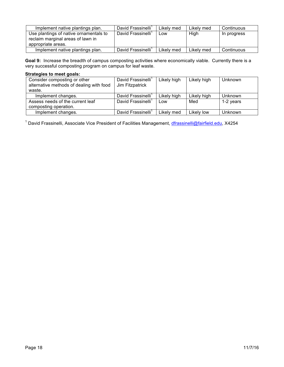| Implement native plantings plan.                                                                  | David Frassinelli              | Likely med | Likely med | Continuous  |
|---------------------------------------------------------------------------------------------------|--------------------------------|------------|------------|-------------|
| Use plantings of native ornamentals to<br>reclaim marginal areas of lawn in<br>appropriate areas. | David Frassinelli <sup>1</sup> | Low        | High       | In progress |
| Implement native plantings plan.                                                                  | David Frassinelli <sup>1</sup> | Likely med | Likely med | Continuous  |

**Goal 9:** Increase the breadth of campus composting activities where economically viable. Currently there is a very successful composting program on campus for leaf waste.

# **Strategies to meet goals:**

| Consider composting or other             | David Frassinelli  | Likely high | Likely high | <b>Unknown</b> |
|------------------------------------------|--------------------|-------------|-------------|----------------|
| alternative methods of dealing with food | Jim Fitzpatrick    |             |             |                |
| waste.                                   |                    |             |             |                |
| Implement changes.                       | David Frassinelli' | Likely high | Likely high | <b>Unknown</b> |
| Assess needs of the current leaf         | David Frassinelli  | Low         | Med         | 1-2 years      |
| composting operation.                    |                    |             |             |                |
| Implement changes.                       | David Frassinelli  | Likely med  | Likely low  | <b>Unknown</b> |

<sup>1</sup> David Frassinelli, Associate Vice President of Facilities Management, *dfrassinelli@fairfield.edu*, X4254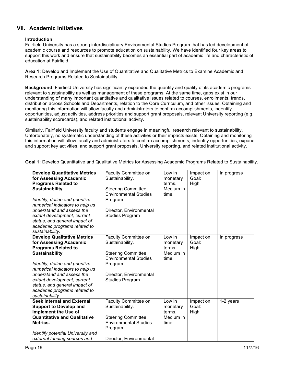# **VII. Academic Initiatives**

## **Introduction**

Fairfield University has a strong interdisciplinary Environmental Studies Program that has led development of academic course and resources to promote education on sustainability. We have identified four key areas to support this work and ensure that sustainability becomes an essential part of academic life and characteristic of education at Fairfield.

**Area 1:** Develop and Implement the Use of Quantitative and Qualitative Metrics to Examine Academic and Research Programs Related to Sustainability

**Background**: Fairfield University has significantly expanded the quantity and quality of its academic programs relevant to sustainability as well as management of these programs. At the same time, gaps exist in our understanding of many important quantitative and qualitative issues related to courses, enrollments, trends, distribution across Schools and Departments, relation to the Core Curriculum, and other issues. Obtaining and monitoring this information will allow faculty and administrators to confirm accomplishments, indentify opportunities, adjust activities, address priorities and support grant proposals, relevant University reporting (e.g. sustainability scorecards), and related institutional activity.

Similarly, Fairfield University faculty and students engage in meaningful research relevant to sustainability. Unfortunately, no systematic understanding of these activities or their impacts exists. Obtaining and monitoring this information will allow faculty and administrators to confirm accomplishments, indentify opportunities, expand and support key activities, and support grant proposals, University reporting, and related institutional activity.

**Goal 1:** Develop Quantitative and Qualitative Metrics for Assessing Academic Programs Related to Sustainability.

| <b>Develop Quantitative Metrics</b><br>for Assessing Academic<br><b>Programs Related to</b><br><b>Sustainability</b><br>Identify, define and prioritize<br>numerical indicators to help us<br>understand and assess the<br>extant development, current<br>status, and general impact of<br>academic programs related to<br>sustainability. | Faculty Committee on<br>Sustainability.<br>Steering Committee,<br><b>Environmental Studies</b><br>Program<br>Director, Environmental<br><b>Studies Program</b> | Low in<br>monetary<br>terms.<br>Medium in<br>time. | Impact on<br>Goal:<br>High | In progress |
|--------------------------------------------------------------------------------------------------------------------------------------------------------------------------------------------------------------------------------------------------------------------------------------------------------------------------------------------|----------------------------------------------------------------------------------------------------------------------------------------------------------------|----------------------------------------------------|----------------------------|-------------|
| <b>Develop Qualitative Metrics</b><br>for Assessing Academic<br><b>Programs Related to</b><br><b>Sustainability</b><br>Identify, define and prioritize<br>numerical indicators to help us<br>understand and assess the<br>extant development, current<br>status, and general impact of<br>academic programs related to<br>sustainability.  | Faculty Committee on<br>Sustainability.<br>Steering Committee,<br><b>Environmental Studies</b><br>Program<br>Director, Environmental<br><b>Studies Program</b> | Low in<br>monetary<br>terms.<br>Medium in<br>time. | Impact on<br>Goal:<br>High | In progress |
| <b>Seek Internal and External</b><br><b>Support to Develop and</b><br>Implement the Use of<br><b>Quantitative and Qualitative</b><br>Metrics.<br>Identify potential University and<br>external funding sources and                                                                                                                         | Faculty Committee on<br>Sustainability.<br>Steering Committee,<br><b>Environmental Studies</b><br>Program<br>Director, Environmental                           | Low in<br>monetary<br>terms.<br>Medium in<br>time. | Impact on<br>Goal:<br>High | 1-2 years   |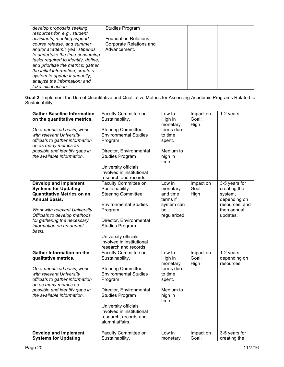| develop proposals seeking                                          | <b>Studies Program</b>                                  |  |  |
|--------------------------------------------------------------------|---------------------------------------------------------|--|--|
| resources for, e.g., student                                       |                                                         |  |  |
| assistants, meeting support,<br>course release, and summer         | <b>Foundation Relations,</b><br>Corporate Relations and |  |  |
| and/or academic year stipends                                      | Advancement.                                            |  |  |
| to undertake the time-consuming                                    |                                                         |  |  |
| tasks required to identify, define,                                |                                                         |  |  |
| and prioritize the metrics; gather                                 |                                                         |  |  |
| the initial information; create a<br>system to update it annually; |                                                         |  |  |
| analyze the information; and                                       |                                                         |  |  |
| take initial action.                                               |                                                         |  |  |

**Goal 2:** Implement the Use of Quantitative and Qualitative Metrics for Assessing Academic Programs Related to Sustainability.

| <b>Gather Baseline Information</b><br>on the quantitative metrics.<br>On a prioritized basis, work<br>with relevant University<br>officials to gather information<br>on as many metrics as<br>possible and identify gaps in<br>the available information. | Faculty Committee on<br>Sustainability.<br>Steering Committee,<br><b>Environmental Studies</b><br>Program<br>Director, Environmental<br><b>Studies Program</b>                                                                                                  | Low to<br>High in<br>monetary<br>terms due<br>to time<br>spent.<br>Medium to<br>high in<br>time. | Impact on<br>Goal:<br>High | 1-2 years                                                                                             |
|-----------------------------------------------------------------------------------------------------------------------------------------------------------------------------------------------------------------------------------------------------------|-----------------------------------------------------------------------------------------------------------------------------------------------------------------------------------------------------------------------------------------------------------------|--------------------------------------------------------------------------------------------------|----------------------------|-------------------------------------------------------------------------------------------------------|
|                                                                                                                                                                                                                                                           | University officials<br>involved in institutional<br>research and records.                                                                                                                                                                                      |                                                                                                  |                            |                                                                                                       |
| <b>Develop and Implement</b><br><b>Systems for Updating</b><br>Quantitative Metrics on an<br><b>Annual Basis.</b><br>Work with relevant University<br>Officials to develop methods<br>for gathering the necessary<br>information on an annual<br>basis.   | Faculty Committee on<br>Sustainability.<br><b>Steering Committee</b><br><b>Environmental Studies</b><br>Program.<br>Director, Environmental<br><b>Studies Program</b><br>University officials<br>involved in institutional<br>research and records              | Low in<br>monetary<br>and time<br>terms if<br>system can<br>be<br>regularized.                   | Impact on<br>Goal:<br>High | 3-5 years for<br>creating the<br>system,<br>depending on<br>resources, and<br>then annual<br>updates. |
| <b>Gather Information on the</b><br>qualitative metrics.<br>On a prioritized basis, work<br>with relevant University<br>officials to gather information<br>on as many metrics as<br>possible and identify gaps in<br>the available information.           | Faculty Committee on<br>Sustainability.<br>Steering Committee,<br><b>Environmental Studies</b><br>Program<br>Director, Environmental<br><b>Studies Program</b><br>University officials<br>involved in institutional<br>research, records and<br>alumni affairs. | Low to<br>High in<br>monetary<br>terms due<br>to time<br>spent.<br>Medium to<br>high in<br>time. | Impact on<br>Goal:<br>High | 1-2 years<br>depending on<br>resources.                                                               |
| <b>Develop and Implement</b><br><b>Systems for Updating</b>                                                                                                                                                                                               | Faculty Committee on<br>Sustainability.                                                                                                                                                                                                                         | Low in<br>monetary                                                                               | Impact on<br>Goal:         | 3-5 years for<br>creating the                                                                         |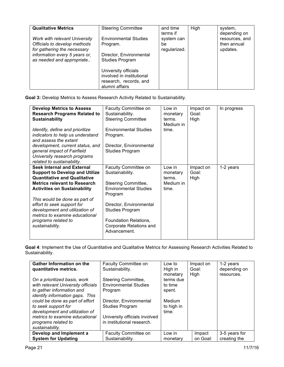| <b>Qualitative Metrics</b>                                                                                                                                 | <b>Steering Committee</b>                                                                                                                                                                      | and time<br>terms if             | High | system,<br>depending on                   |
|------------------------------------------------------------------------------------------------------------------------------------------------------------|------------------------------------------------------------------------------------------------------------------------------------------------------------------------------------------------|----------------------------------|------|-------------------------------------------|
| Work with relevant University<br>Officials to develop methods<br>for gathering the necessary<br>information every 5 years or,<br>as needed and appropriate | <b>Environmental Studies</b><br>Program.<br>Director, Environmental<br><b>Studies Program</b><br>University officials<br>involved in institutional<br>research, records, and<br>alumni affairs | system can<br>be<br>regularized. |      | resources, and<br>then annual<br>updates. |

**Goal 3:** Develop Metrics to Assess Research Activity Related to Sustainability.

| <b>Develop Metrics to Assess</b>      | Faculty Committee on         | Low in    | Impact on | In progress |
|---------------------------------------|------------------------------|-----------|-----------|-------------|
| <b>Research Programs Related to</b>   | Sustainability.              | monetary  | Goal:     |             |
| <b>Sustainability</b>                 | <b>Steering Committee</b>    | terms.    | High      |             |
|                                       |                              | Medium in |           |             |
| Identify, define and prioritize       | <b>Environmental Studies</b> | time.     |           |             |
| indicators to help us understand      | Program.                     |           |           |             |
| and assess the extant                 |                              |           |           |             |
| development, current status, and      | Director, Environmental      |           |           |             |
| general impact of Fairfield           | <b>Studies Program</b>       |           |           |             |
| University research programs          |                              |           |           |             |
| related to sustainability.            |                              |           |           |             |
| <b>Seek Internal and External</b>     | Faculty Committee on         | Low in    | Impact on | 1-2 years   |
| <b>Support to Develop and Utilize</b> | Sustainability.              | monetary  | Goal:     |             |
| <b>Quantitative and Qualitative</b>   |                              | terms.    | High      |             |
| <b>Metrics relevant to Research</b>   | Steering Committee,          | Medium in |           |             |
| <b>Activities on Sustainability</b>   | <b>Environmental Studies</b> | time.     |           |             |
|                                       | Program                      |           |           |             |
| This would be done as part of         |                              |           |           |             |
| effort to seek support for            | Director, Environmental      |           |           |             |
| development and utilization of        | <b>Studies Program</b>       |           |           |             |
| metrics to examine educational        |                              |           |           |             |
| programs related to                   | Foundation Relations,        |           |           |             |
| sustainability.                       | Corporate Relations and      |           |           |             |
|                                       | Advancement.                 |           |           |             |
|                                       |                              |           |           |             |

**Goal 4**: Implement the Use of Quantitative and Qualitative Metrics for Assessing Research Activities Related to Sustainability.

| <b>Gather Information on the</b>   | <b>Faculty Committee on</b>   | Low to     | Impact on | 1-2 years     |
|------------------------------------|-------------------------------|------------|-----------|---------------|
|                                    |                               |            |           |               |
| quantitative metrics.              | Sustainability.               | High in    | Goal:     | depending on  |
|                                    |                               | monetary   | High      | resources.    |
| On a prioritized basis, work       | Steering Committee,           | terms due  |           |               |
| with relevant University officials | <b>Environmental Studies</b>  | to time    |           |               |
| to gather information and          | Program                       | spent.     |           |               |
| identify information gaps. This    |                               |            |           |               |
| could be done as part of effort    | Director, Environmental       | Medium     |           |               |
|                                    |                               |            |           |               |
| to seek support for                | <b>Studies Program</b>        | to high in |           |               |
| development and utilization of     |                               | time.      |           |               |
| metrics to examine educational     | University officials involved |            |           |               |
| programs related to                | in institutional research.    |            |           |               |
| sustainability.                    |                               |            |           |               |
| Develop and Implement a            | <b>Faculty Committee on</b>   | Low in     | Impact    | 3-5 years for |
| <b>System for Updating</b>         | Sustainability.               | monetary   | on Goal:  | creating the  |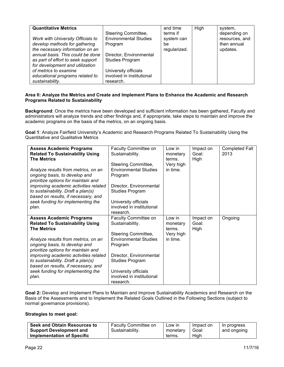| <b>Quantitative Metrics</b><br>Work with University Officials to<br>develop methods for gathering<br>the necessary information on an<br>annual basis. This could be done<br>as part of effort to seek support<br>for development and utilization | Steering Committee,<br><b>Environmental Studies</b><br>Program<br>Director, Environmental<br><b>Studies Program</b> | and time<br>terms if<br>system can<br>be<br>regularized. | High | system,<br>depending on<br>resources, and<br>then annual<br>updates. |
|--------------------------------------------------------------------------------------------------------------------------------------------------------------------------------------------------------------------------------------------------|---------------------------------------------------------------------------------------------------------------------|----------------------------------------------------------|------|----------------------------------------------------------------------|
| of metrics to examine<br>educational programs related to<br>sustainability.                                                                                                                                                                      | University officials<br>involved in institutional<br>research.                                                      |                                                          |      |                                                                      |

#### **Area II: Analyze the Metrics and Create and Implement Plans to Enhance the Academic and Research Programs Related to Sustainability**

**Background**: Once the metrics have been developed and sufficient information has been gathered, Faculty and administrators will analyze trends and other findings and, if appropriate, take steps to maintain and improve the academic programs on the basis of the metrics, on an ongoing basis.

**Goal 1**: Analyze Fairfield University's Academic and Research Programs Related To Sustainability Using the Quantitative and Qualitative Metrics

| <b>Assess Academic Programs</b>        | Faculty Committee on         | Low in    | Impact on | <b>Completed Fall</b> |
|----------------------------------------|------------------------------|-----------|-----------|-----------------------|
| <b>Related To Sustainability Using</b> | Sustainability.              | monetary  | Goal:     | 2013                  |
| <b>The Metrics</b>                     |                              | terms.    | High      |                       |
|                                        | Steering Committee,          | Very high |           |                       |
| Analyze results from metrics, on an    | <b>Environmental Studies</b> | in time.  |           |                       |
| ongoing basis, to develop and          | Program                      |           |           |                       |
| prioritize options for maintain and    |                              |           |           |                       |
| improving academic activities related  | Director, Environmental      |           |           |                       |
| to sustainability. Draft a plan(s)     | <b>Studies Program</b>       |           |           |                       |
| based on results, if necessary, and    |                              |           |           |                       |
| seek funding for implementing the      | University officials         |           |           |                       |
| plan.                                  | involved in institutional    |           |           |                       |
|                                        | research.                    |           |           |                       |
| <b>Assess Academic Programs</b>        | Faculty Committee on         | Low in    | Impact on | Ongoing               |
| <b>Related To Sustainability Using</b> | Sustainability.              | monetary  | Goal:     |                       |
| <b>The Metrics</b>                     |                              | terms.    | High      |                       |
|                                        | Steering Committee,          | Very high |           |                       |
| Analyze results from metrics, on an    | <b>Environmental Studies</b> | in time.  |           |                       |
| ongoing basis, to develop and          | Program                      |           |           |                       |
| prioritize options for maintain and    |                              |           |           |                       |
| improving academic activities related  | Director, Environmental      |           |           |                       |
| to sustainability. Draft a plan(s)     | <b>Studies Program</b>       |           |           |                       |
| based on results, if necessary, and    |                              |           |           |                       |
| seek funding for implementing the      | University officials         |           |           |                       |
| plan.                                  | involved in institutional    |           |           |                       |
|                                        | research.                    |           |           |                       |

**Goal 2:** Develop and Implement Plans to Maintain and Improve Sustainability Academics and Research on the Basis of the Assessments and to Implement the Related Goals Outlined in the Following Sections (subject to normal governance provisions).

| Seek and Obtain Resources to      | <b>Faculty Committee on</b> | Low in   | Impact on | In progress |
|-----------------------------------|-----------------------------|----------|-----------|-------------|
| <b>Support Development and</b>    | Sustainability.             | monetary | Goal:     | and ongoing |
| <b>Implementation of Specific</b> |                             | terms.   | High      |             |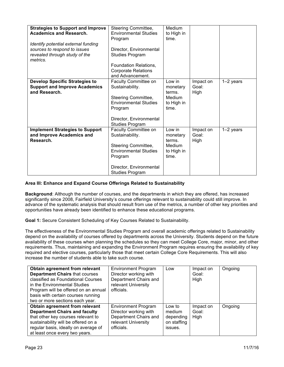| <b>Strategies to Support and Improve</b><br><b>Academics and Research.</b><br>Identify potential external funding<br>sources to respond to issues<br>revealed through study of the<br>metrics. | Steering Committee,<br><b>Environmental Studies</b><br>Program<br>Director, Environmental<br><b>Studies Program</b><br>Foundation Relations,                   | Medium<br>to High in<br>time.                                 |                            |             |
|------------------------------------------------------------------------------------------------------------------------------------------------------------------------------------------------|----------------------------------------------------------------------------------------------------------------------------------------------------------------|---------------------------------------------------------------|----------------------------|-------------|
|                                                                                                                                                                                                | <b>Corporate Relations</b><br>and Advancement.                                                                                                                 |                                                               |                            |             |
| <b>Develop Specific Strategies to</b><br><b>Support and Improve Academics</b><br>and Research.                                                                                                 | Faculty Committee on<br>Sustainability.<br>Steering Committee,<br><b>Environmental Studies</b><br>Program<br>Director, Environmental<br><b>Studies Program</b> | Low in<br>monetary<br>terms.<br>Medium<br>to High in<br>time. | Impact on<br>Goal:<br>High | $1-2$ years |
| <b>Implement Strategies to Support</b><br>and Improve Academics and<br>Research.                                                                                                               | Faculty Committee on<br>Sustainability.<br>Steering Committee,<br><b>Environmental Studies</b><br>Program<br>Director, Environmental<br><b>Studies Program</b> | Low in<br>monetary<br>terms.<br>Medium<br>to High in<br>time. | Impact on<br>Goal:<br>High | $1-2$ years |

# **Area III: Enhance and Expand Course Offerings Related to Sustainability**

**Background**: Although the number of courses, and the departments in which they are offered, has increased significantly since 2008, Fairfield University's course offerings relevant to sustainability could still improve. In advance of the systematic analysis that should result from use of the metrics, a number of other key priorities and opportunities have already been identified to enhance these educational programs.

**Goal 1:** Secure Consistent Scheduling of Key Courses Related to Sustainability.

The effectiveness of the Environmental Studies Program and overall academic offerings related to Sustainability depend on the availability of courses offered by departments across the University. Students depend on the future availability of these courses when planning the schedules so they can meet College Core, major, minor, and other requirements. Thus, maintaining and expanding the Environment Program requires ensuring the availability of key required and elective courses, particularly those that meet certain College Core Requirements. This will also increase the number of students able to take such course.

| Obtain agreement from relevant<br><b>Department Chairs that courses</b><br>classified as Foundational Courses<br>in the Environmental Studies<br>Program will be offered on an annual<br>basis with certain courses running<br>two or more sections each year. | <b>Environment Program</b><br>Director working with<br>Department Chairs and<br>relevant University<br>officials. | Low                                                     | Impact on<br>Goal:<br>High | Ongoing |
|----------------------------------------------------------------------------------------------------------------------------------------------------------------------------------------------------------------------------------------------------------------|-------------------------------------------------------------------------------------------------------------------|---------------------------------------------------------|----------------------------|---------|
| Obtain agreement from relevant<br><b>Department Chairs and faculty</b><br>that other key courses relevant to<br>sustainability will be offered on a<br>regular basis, ideally on average of<br>at least once every two years.                                  | <b>Environment Program</b><br>Director working with<br>Department Chairs and<br>relevant University<br>officials. | Low to<br>medium<br>depending<br>on staffing<br>issues. | Impact on<br>Goal:<br>High | Ongoing |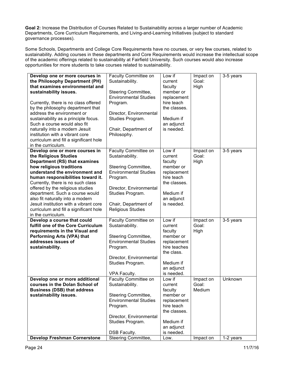**Goal 2:** Increase the Distribution of Courses Related to Sustainability across a larger number of Academic Departments, Core Curriculum Requirements, and Living-and-Learning Initiatives (subject to standard governance processes).

Some Schools, Departments and College Core Requirements have no courses, or very few courses, related to sustainability. Adding courses in these departments and Core Requirements would increase the intellectual scope of the academic offerings related to sustainability at Fairfield University. Such courses would also increase opportunities for more students to take courses related to sustainability.

| Develop one or more courses in<br>the Philosophy Department (PH)<br>that examines environmental and<br>sustainability issues.<br>Currently, there is no class offered<br>by the philosophy department that<br>address the environment or<br>sustainability as a principle focus.<br>Such a course would also fit<br>naturally into a modern Jesuit<br>institution with a vibrant core<br>curriculum and fill a significant hole<br>in the curriculum. | Faculty Committee on<br>Sustainability.<br>Steering Committee,<br><b>Environmental Studies</b><br>Program.<br>Director, Environmental<br>Studies Program.<br>Chair, Department of<br>Philosophy.              | Low if<br>current<br>faculty<br>member or<br>replacement<br>hire teach<br>the classes.<br>Medium if<br>an adjunct<br>is needed. | Impact on<br>Goal:<br>High   | 3-5 years |
|-------------------------------------------------------------------------------------------------------------------------------------------------------------------------------------------------------------------------------------------------------------------------------------------------------------------------------------------------------------------------------------------------------------------------------------------------------|---------------------------------------------------------------------------------------------------------------------------------------------------------------------------------------------------------------|---------------------------------------------------------------------------------------------------------------------------------|------------------------------|-----------|
| Develop one or more courses in<br>the Religious Studies<br>Department (RS) that examines<br>how religious traditions<br>understand the environment and<br>human responsibilities toward it.<br>Currently, there is no such class<br>offered by the religious studies<br>department. Such a course would<br>also fit naturally into a modern<br>Jesuit institution with a vibrant core<br>curriculum and fill a significant hole<br>in the curriculum. | Faculty Committee on<br>Sustainability.<br>Steering Committee,<br><b>Environmental Studies</b><br>Program.<br>Director, Environmental<br>Studies Program.<br>Chair, Department of<br><b>Religious Studies</b> | Low if<br>current<br>faculty<br>member or<br>replacement<br>hire teach<br>the classes.<br>Medium if<br>an adjunct<br>is needed. | Impact on<br>Goal:<br>High   | 3-5 years |
| Develop a course that could<br>fulfill one of the Core Curriculum<br>requirements in the Visual and<br>Performing Arts (VPA) that<br>addresses issues of<br>sustainability.                                                                                                                                                                                                                                                                           | Faculty Committee on<br>Sustainability.<br>Steering Committee,<br><b>Environmental Studies</b><br>Program.<br>Director, Environmental<br>Studies Program.<br>VPA Faculty.                                     | Low if<br>current<br>faculty<br>member or<br>replacement<br>hire teaches<br>the class.<br>Medium if<br>an adjunct<br>is needed. | Impact on<br>Goal:<br>High   | 3-5 years |
| Develop one or more additional<br>courses in the Dolan School of<br><b>Business (DSB) that address</b><br>sustainability issues.                                                                                                                                                                                                                                                                                                                      | Faculty Committee on<br>Sustainability.<br>Steering Committee,<br><b>Environmental Studies</b><br>Program.<br>Director, Environmental<br>Studies Program.<br>DSB Faculty.                                     | Low if<br>current<br>faculty<br>member or<br>replacement<br>hire teach<br>the classes.<br>Medium if<br>an adjunct<br>is needed. | Impact on<br>Goal:<br>Medium | Unknown   |
| <b>Develop Freshman Cornerstone</b>                                                                                                                                                                                                                                                                                                                                                                                                                   | Steering Committee,                                                                                                                                                                                           | Low.                                                                                                                            | Impact on                    | 1-2 years |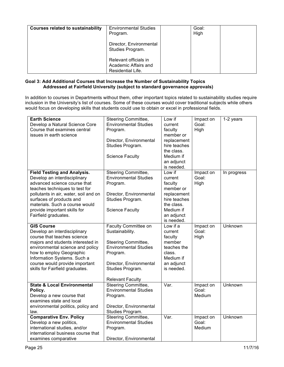| <b>Courses related to sustainability</b> | <b>Environmental Studies</b><br>Program.                           | Goal:<br>High |  |
|------------------------------------------|--------------------------------------------------------------------|---------------|--|
|                                          | Director, Environmental<br>Studies Program.                        |               |  |
|                                          | Relevant officials in<br>Academic Affairs and<br>Residential Life. |               |  |

## **Goal 3: Add Additional Courses that Increase the Number of Sustainability Topics Addressed at Fairfield University (subject to standard governance approvals)**

In addition to courses in Departments without them, other important topics related to sustainability studies require inclusion in the University's list of courses. Some of these courses would cover traditional subjects while others would focus on developing skills that students could use to obtain or excel in professional fields.

| <b>Earth Science</b><br>Develop a Natural Science Core<br>Course that examines central<br>issues in earth science                                                                                                                                                                                   | Steering Committee,<br><b>Environmental Studies</b><br>Program.<br>Director, Environmental<br>Studies Program.<br><b>Science Faculty</b>                                             | Low if<br>current<br>faculty<br>member or<br>replacement<br>hire teaches<br>the class.<br>Medium if<br>an adjunct<br>is needed. | Impact on<br>Goal:<br>High   | 1-2 years   |
|-----------------------------------------------------------------------------------------------------------------------------------------------------------------------------------------------------------------------------------------------------------------------------------------------------|--------------------------------------------------------------------------------------------------------------------------------------------------------------------------------------|---------------------------------------------------------------------------------------------------------------------------------|------------------------------|-------------|
| <b>Field Testing and Analysis.</b><br>Develop an interdisciplinary<br>advanced science course that<br>teaches techniques to test for<br>pollutants in air, water, soil and on<br>surfaces of products and<br>materials. Such a course would<br>provide important skills for<br>Fairfield graduates. | Steering Committee,<br><b>Environmental Studies</b><br>Program.<br>Director, Environmental<br>Studies Program.<br><b>Science Faculty</b>                                             | Low if<br>current<br>faculty<br>member or<br>replacement<br>hire teaches<br>the class.<br>Medium if<br>an adjunct<br>is needed. | Impact on<br>Goal:<br>High   | In progress |
| <b>GIS Course</b><br>Develop an interdisciplinary<br>course that teaches science<br>majors and students interested in<br>environmental science and policy<br>how to employ Geographic<br>Information Systems. Such a<br>course would provide important<br>skills for Fairfield graduates.           | Faculty Committee on<br>Sustainability.<br>Steering Committee,<br><b>Environmental Studies</b><br>Program.<br>Director, Environmental<br>Studies Program.<br><b>Relevant Faculty</b> | Low if a<br>current<br>faculty<br>member<br>teaches the<br>class.<br>Medium if<br>an adjunct<br>is needed.                      | Impact on<br>Goal:<br>High   | Unknown     |
| <b>State &amp; Local Environmental</b><br>Policy.<br>Develop a new course that<br>examines state and local<br>environmental politics, policy and<br>law.                                                                                                                                            | <b>Steering Committee,</b><br><b>Environmental Studies</b><br>Program.<br>Director, Environmental<br>Studies Program.                                                                | Var.                                                                                                                            | Impact on<br>Goal:<br>Medium | Unknown     |
| <b>Comparative Env. Policy</b><br>Develop a new politics,<br>international studies, and/or<br>international business course that<br>examines comparative                                                                                                                                            | Steering Committee,<br><b>Environmental Studies</b><br>Program.<br>Director, Environmental                                                                                           | Var.                                                                                                                            | Impact on<br>Goal:<br>Medium | Unknown     |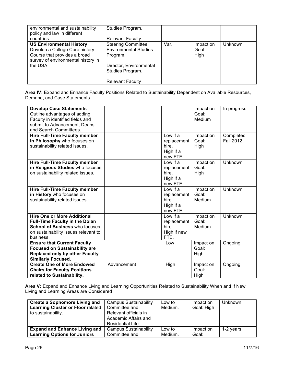| environmental and sustainability<br>policy and law in different<br>countries.                                                                       | Studies Program.<br><b>Relevant Faculty</b>                                                                                               |      |                            |         |
|-----------------------------------------------------------------------------------------------------------------------------------------------------|-------------------------------------------------------------------------------------------------------------------------------------------|------|----------------------------|---------|
| <b>US Environmental History</b><br>Develop a College Core history<br>Course that provides a broad<br>survey of environmental history in<br>the USA. | Steering Committee,<br><b>Environmental Studies</b><br>Program.<br>Director, Environmental<br>Studies Program.<br><b>Relevant Faculty</b> | Var. | Impact on<br>Goal:<br>High | Unknown |

Area IV: Expand and Enhance Faculty Positions Related to Sustainability Dependent on Available Resources, Demand, and Case Statements

| <b>Develop Case Statements</b><br>Outline advantages of adding<br>Faculty in identified fields and<br>submit to Advancement, Deans<br>and Search Committees.              |             |                                                           | Impact on<br>Goal:<br>Medium | In progress                   |
|---------------------------------------------------------------------------------------------------------------------------------------------------------------------------|-------------|-----------------------------------------------------------|------------------------------|-------------------------------|
| <b>Hire Full-Time Faculty member</b><br>in Philosophy who focuses on<br>sustainability related issues.                                                                    |             | Low if a<br>replacement<br>hire.<br>High if a<br>new FTE. | Impact on<br>Goal:<br>High   | Completed<br><b>Fall 2012</b> |
| <b>Hire Full-Time Faculty member</b><br>in Religious Studies who focuses<br>on sustainability related issues.                                                             |             | Low if a<br>replacement<br>hire.<br>High if a<br>new FTE. | Impact on<br>Goal:<br>High   | Unknown                       |
| <b>Hire Full-Time Faculty member</b><br>in History who focuses on<br>sustainability related issues.                                                                       |             | Low if a<br>replacement<br>hire.<br>High if a<br>new FTE  | Impact on<br>Goal:<br>Medium | Unknown                       |
| <b>Hire One or More Additional</b><br><b>Full-Time Faculty in the Dolan</b><br><b>School of Business who focuses</b><br>on sustainability issues relevant to<br>business. |             | Low if a<br>replacement<br>hire.<br>High if new<br>FTE.   | Impact on<br>Goal:<br>Medium | Unknown                       |
| <b>Ensure that Current Faculty</b><br><b>Focused on Sustainability are</b><br><b>Replaced only by other Faculty</b><br><b>Similarly Focused.</b>                          |             | Low                                                       | Impact on<br>Goal:<br>High   | Ongoing                       |
| <b>Create One of More Endowed</b><br><b>Chairs for Faculty Positions</b><br>related to Sustainability.                                                                    | Advancement | High                                                      | Impact on<br>Goal:<br>High   | Ongoing                       |

**Area V:** Expand and Enhance Living and Learning Opportunities Related to Sustainability When and If New Living and Learning Areas are Considered

| <b>Create a Sophomore Living and</b><br><b>Learning Cluster or Floor related</b><br>to sustainability. | <b>Campus Sustainability</b><br>Committee and<br>Relevant officials in<br>Academic Affairs and<br>Residential Life. | Low to<br>Medium. | Impact on<br>Goal: High | <b>Unknown</b> |
|--------------------------------------------------------------------------------------------------------|---------------------------------------------------------------------------------------------------------------------|-------------------|-------------------------|----------------|
| <b>Expand and Enhance Living and</b>                                                                   | <b>Campus Sustainability</b>                                                                                        | Low to            | Impact on               | 1-2 years      |
| <b>Learning Options for Juniors</b>                                                                    | Committee and                                                                                                       | Medium.           | Goal:                   |                |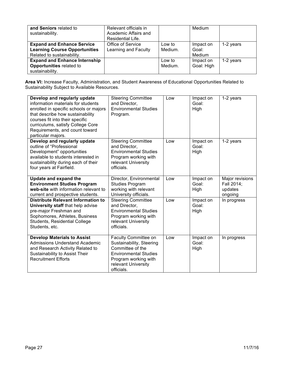| and Seniors related to<br>sustainability.                                                               | Relevant officials in<br>Academic Affairs and<br>Residential Life. |                   | Medium                       |           |
|---------------------------------------------------------------------------------------------------------|--------------------------------------------------------------------|-------------------|------------------------------|-----------|
| <b>Expand and Enhance Service</b><br><b>Learning Course Opportunities</b><br>Related to sustainability. | Office of Service<br>Learning and Faculty                          | Low to<br>Medium. | Impact on<br>Goal:<br>Medium | 1-2 years |
| <b>Expand and Enhance Internship</b><br>Opportunities related to<br>sustainability.                     |                                                                    | Low to<br>Medium. | Impact on<br>Goal: High      | 1-2 years |

**Area VI:** Increase Faculty, Administration, and Student Awareness of Educational Opportunities Related to Sustainability Subject to Available Resources.

| Develop and regularly update<br>information materials for students<br>enrolled in specific schools or majors<br>that describe how sustainability<br>courses fit into their specific<br>curriculums, satisfy College Core<br>Requirements, and count toward<br>particular majors. | <b>Steering Committee</b><br>and Director.<br><b>Environmental Studies</b><br>Program.                                                                            | Low | Impact on<br>Goal:<br>High | 1-2 years                                           |
|----------------------------------------------------------------------------------------------------------------------------------------------------------------------------------------------------------------------------------------------------------------------------------|-------------------------------------------------------------------------------------------------------------------------------------------------------------------|-----|----------------------------|-----------------------------------------------------|
| Develop and regularly update<br>outline of "Professional<br>Development" opportunities<br>available to students interested in<br>sustainability during each of their<br>four years at Fairfield.                                                                                 | <b>Steering Committee</b><br>and Director,<br><b>Environmental Studies</b><br>Program working with<br>relevant University<br>officials.                           | Low | Impact on<br>Goal:<br>High | 1-2 years                                           |
| Update and expand the<br><b>Environment Studies Program</b><br>web-site with information relevant to<br>current and prospective students.                                                                                                                                        | Director, Environmental<br><b>Studies Program</b><br>working with relevant<br>University officials.                                                               | Low | Impact on<br>Goal:<br>High | Major revisions<br>Fall 2014;<br>updates<br>ongoing |
| <b>Distribute Relevant Information to</b><br>University staff that help advise<br>pre-major Freshman and<br>Sophomores, Athletes, Business<br>Students, Residential College<br>Students, etc.                                                                                    | <b>Steering Committee</b><br>and Director.<br><b>Environmental Studies</b><br>Program working with<br>relevant University<br>officials.                           | Low | Impact on<br>Goal:<br>High | In progress                                         |
| <b>Develop Materials to Assist</b><br><b>Admissions Understand Academic</b><br>and Research Activity Related to<br>Sustainability to Assist Their<br><b>Recruitment Efforts</b>                                                                                                  | Faculty Committee on<br>Sustainability, Steering<br>Committee of the<br><b>Environmental Studies</b><br>Program working with<br>relevant University<br>officials. | Low | Impact on<br>Goal:<br>High | In progress                                         |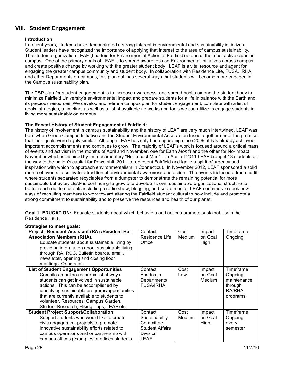# **VIII. Student Engagement**

## **Introduction**

In recent years, students have demonstrated a strong interest in environmental and sustainability initiatives. Student leaders have recognized the importance of applying that interest to the area of campus sustainability. The student organization LEAF (Leaders for Environmental Action at Fairfield) is one of the most active clubs on campus. One of the primary goals of LEAF is to spread awareness on Environmental initiatives across campus and create positive change by working with the greater student body. LEAF is a vital resource and agent for engaging the greater campus community and student body. In collaboration with Residence Life, FUSA, IRHA, and other Departments on-campus, this plan outlines several ways that students will become more engaged in the Campus sustainability plan.

The CSP plan for student engagement is to increase awareness, and spread habits among the student body to minimize Fairfield University's environmental impact and prepare students for a life in balance with the Earth and its precious resources. We develop and refine a campus plan for student engagement, complete with a list of goals, strategies, a timeline, as well as a list of available networks and tools we can utilize to engage students in living more sustainably on campus

#### **The Recent History of Student Engagement at Fairfield:**

The history of involvement in campus sustainability and the history of LEAF are very much intertwined. LEAF was born when Green Campus Initiative and the Student Environmental Association fused together under the premise that their goals were highly similar. Although LEAF has only been operating since 2009, it has already achieved important accomplishments and continues to grow. The majority of LEAF's work is focused around a critical mass of events and activism in the months of April and November, one for Earth *Month* and the other for No-Impact November which is inspired by the documentary "No-Impact Man". In April of 2011 LEAF brought 13 students all the way to the nation's capital for Powershift 2011 to represent Fairfield and ignite a spirit of urgency and inspiration with which to approach environmentalism in Connecticut. In November 2012, LEAF sponsored a solid month of events to cultivate a tradition of environmental awareness and action. The events included a trash audit where students separated recyclables from a dumpster to demonstrate the remaining potential for more sustainable behavior. LEAF is continuing to grow and develop its own sustainable organizational structure to better reach out to students including a radio show, blogging, and social media. LEAF continues to seek new ways of recruiting members to work toward altering the Fairfield student cultural to now include and promote a strong commitment to sustainability and to preserve the resources and health of our planet.

**Goal 1: EDUCATION:** Educate students about which behaviors and actions promote sustainability in the Residence Halls.

| Project: Resident Assistant (RA) /Resident Hall<br><b>Association Members (RHA).</b><br>Educate students about sustainable living by<br>providing information about sustainable living<br>through RA, RCC, Bulletin boards, email,<br>newsletter, opening and closing floor<br>meetings, Orientation                                                                 | Contact<br>Residence Life<br>Office                                                         | Cost<br>Medium | Impact<br>on Goal<br>High   | Timeframe<br>Ongoing                                                 |
|----------------------------------------------------------------------------------------------------------------------------------------------------------------------------------------------------------------------------------------------------------------------------------------------------------------------------------------------------------------------|---------------------------------------------------------------------------------------------|----------------|-----------------------------|----------------------------------------------------------------------|
| <b>List of Student Engagement Opportunities</b><br>Compile an online resource list of ways<br>students can get involved in sustainable<br>actions. This can be accomplished by<br>identifying sustainable programs/opportunities<br>that are currently available to students to<br>volunteer. Resources: Campus Garden,<br>Student Research, Hiking Trips, LEAF etc. | Contact<br>Academic<br>Departments<br><b>FUSA/IRHA</b>                                      | Cost<br>Low    | Impact<br>on Goal<br>Medium | Timeframe<br>Ongoing<br>maintenance<br>through<br>RA/RHA<br>programs |
| <b>Student Project Support/Collaboration</b><br>Support students who would like to create<br>civic engagement projects to promote<br>innovative sustainability efforts related to<br>campus operations and or partnership with<br>campus offices (examples of offices students                                                                                       | Contact<br>Sustainability<br>Committee<br><b>Student Affairs</b><br><b>Division</b><br>LEAF | Cost<br>Medium | Impact<br>on Goal<br>High   | Timeframe<br>Ongoing<br>every<br>semester                            |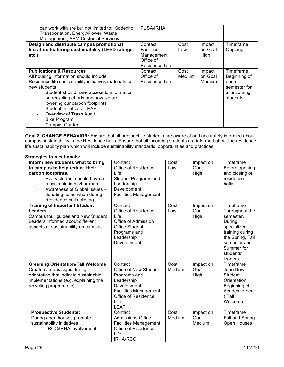| can work with are but not limited to: Sodexho.<br>Transportation, Energy/Power, Waste<br>Management, ABM Custodial Services                                                                                                                                                                                                                                                           | <b>FUSA/IRHA</b>                                                          |                |                             |                                                                               |
|---------------------------------------------------------------------------------------------------------------------------------------------------------------------------------------------------------------------------------------------------------------------------------------------------------------------------------------------------------------------------------------|---------------------------------------------------------------------------|----------------|-----------------------------|-------------------------------------------------------------------------------|
| Design and distribute campus promotional<br>literature featuring sustainability (LEED ratings,<br>etc.)                                                                                                                                                                                                                                                                               | Contact<br><b>Facilities</b><br>Management<br>Office of<br>Residence Life | Cost<br>Low    | Impact<br>on Goal<br>High   | Timeframe<br>Ongoing                                                          |
| <b>Publications &amp; Resources</b><br>All housing information should include<br>Residence life sustainability initiatives materials to<br>new students<br>Student should have access to information<br>on recycling efforts and how we are<br>lowering our carbon footprints.<br><b>Student initiatives- LEAF</b><br>Overview of Trash Audit<br><b>Bike Program</b><br>Campus Garden | Contact<br>Office of<br>Residence Life                                    | Cost<br>Medium | Impact<br>on Goal<br>Medium | Timeframe<br>Beginning of<br>each<br>semester for<br>all incoming<br>students |

**Goal 2**: **CHANGE BEHAVIOR:** Ensure that all prospective students are aware of and accurately informed about campus sustainability in the Residence halls. Ensure that all incoming students are informed about the residence life sustainability plan which will include sustainability standards, opportunities and practices

| Inform new students what to bring<br>to campus to help reduce their<br>carbon footprints.<br>Every student should have a<br>recycle bin in his/her room<br>Awareness of Global Issues -<br>donating items when during<br>Residence halls closing | Contact<br>Office of Residence<br>Life<br><b>Student Programs and</b><br>Leadership<br>Development<br><b>Facilities Management</b>                          | Cost<br>Low    | Impact on<br>Goal<br>High   | Timeframe<br>Before opening<br>and closing of<br>residence<br>halls.                                                                                            |
|--------------------------------------------------------------------------------------------------------------------------------------------------------------------------------------------------------------------------------------------------|-------------------------------------------------------------------------------------------------------------------------------------------------------------|----------------|-----------------------------|-----------------------------------------------------------------------------------------------------------------------------------------------------------------|
| <b>Training of Important Student</b><br><b>Leaders</b><br>Campus tour guides and New Student<br>Leaders informed about different<br>aspects of sustainability on campus                                                                          | Contact<br>Office of Residence<br>Life<br>Office of Admission<br><b>Office Student</b><br>Programs and<br>Leadership<br>Development                         | Cost<br>Low    | Impact on<br>Goal<br>High   | Timeframe<br>Throughout the<br>semester.<br>During<br>specialized<br>training during<br>the Spring, Fall<br>semester and<br>Summer for<br>students'<br>leaders. |
| <b>Greening Orientation/Fall Welcome</b><br>Create campus signs during<br>orientation that indicate sustainable<br>implementations (e.g. explaining the<br>recycling program etc).                                                               | Contact<br>Office of New Student<br>Programs and<br>Leadership<br>Development<br><b>Facilities Management</b><br>Office of Residence<br>Life<br><b>LEAF</b> | Cost<br>Medium | Impact on<br>Goal<br>High   | Timeframe<br>June New<br><b>Student</b><br>Orientation<br>Beginning of<br>Academic Year<br>(Fall<br>Welcome)                                                    |
| <b>Prospective Students:</b><br>During open houses promote<br>sustainability initiatives<br>RCC/IRHA involvement                                                                                                                                 | Contact<br><b>Admissions Office</b><br><b>Facilities Management</b><br>Office of Residence<br>Life<br><b>IRHA/RCC</b>                                       | Cost<br>Medium | Impact on<br>Goal<br>Medium | Timeframe<br>Fall and Spring<br>Open Houses                                                                                                                     |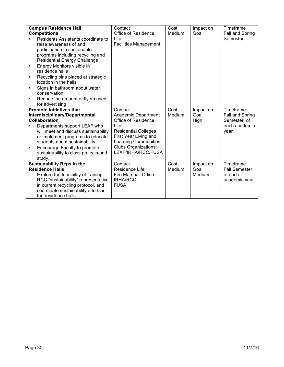|                                 | <b>Campus Residence Hall</b>         | Contact                      | Cost   | Impact on | Timeframe            |
|---------------------------------|--------------------------------------|------------------------------|--------|-----------|----------------------|
|                                 | <b>Competitions</b>                  | Office of Residence          | Medium | Goal      | Fall and Spring      |
|                                 | Residents Assistants coordinate to   | Life                         |        |           | Semester             |
|                                 | raise awareness of and               | <b>Facilities Management</b> |        |           |                      |
|                                 | participation in sustainable         |                              |        |           |                      |
|                                 | programs including recycling and     |                              |        |           |                      |
|                                 | <b>Residential Energy Challenge</b>  |                              |        |           |                      |
| ٠                               | Energy Monitors visible in           |                              |        |           |                      |
|                                 | residence halls                      |                              |        |           |                      |
|                                 | Recycling bins placed at strategic   |                              |        |           |                      |
|                                 | location in the halls,               |                              |        |           |                      |
| ٠                               | Signs in bathroom about water        |                              |        |           |                      |
|                                 | conservation,                        |                              |        |           |                      |
| ٠                               | Reduce the amount of flyers used     |                              |        |           |                      |
|                                 | for advertising                      |                              |        |           |                      |
| <b>Promote Initiatives that</b> |                                      | Contact                      | Cost   | Impact on | Timeframe            |
|                                 | Interdisciplinary/Departmental       | Academic Department          | Medium | Goal      | Fall and Spring      |
|                                 | <b>Collaboration</b>                 | Office of Residence          |        | High      | Semester of          |
|                                 | Departments support LEAF who         | Life                         |        |           | each academic        |
|                                 | will meet and discuss sustainability | <b>Residential Colleges</b>  |        |           | year                 |
|                                 | or implement programs to educate     | First Year Living and        |        |           |                      |
|                                 | students about sustainability.       | <b>Learning Communities</b>  |        |           |                      |
| ٠                               | Encourage Faculty to promote         | <b>Clubs Organizations:</b>  |        |           |                      |
|                                 | sustainability to class projects and | LEAF/IRHA/RCC/FUSA           |        |           |                      |
|                                 | study.                               |                              |        |           |                      |
|                                 | <b>Sustainability Reps in the</b>    | Contact                      | Cost   | Impact on | Timeframe            |
|                                 | <b>Residence Halls</b>               | Residence Life               | Medium | Goal      | <b>Fall Semester</b> |
|                                 | Explore the feasibility of training  | <b>Fire Marshall Office</b>  |        | Medium    | of each              |
|                                 | RCC "sustainability" representative  | <b>IRHA/RCC</b>              |        |           | academic year        |
|                                 | in current recycling protocol, and   | <b>FUSA</b>                  |        |           |                      |
|                                 | coordinate sustainability efforts in |                              |        |           |                      |
|                                 | the residence halls                  |                              |        |           |                      |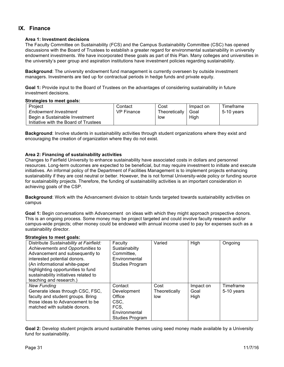# **IX. Finance**

## **Area 1: Investment decisions**

The Faculty Committee on Sustainability (FCS) and the Campus Sustainability Committee (CSC) has opened discussions with the Board of Trustees to establish a greater regard for environmental sustainability in university endowment investments. We have incorporated these goals as part of this Plan. Many colleges and universities in the university's peer group and aspiration institutions have investment policies regarding sustainability.

**Background**: The university endowment fund management is currently overseen by outside investment managers. Investments are tied up for contractual periods in hedge funds and private equity.

**Goal 1:** Provide input to the Board of Trustees on the advantages of considering sustainability in future investment decisions.

#### **Strategies to meet goals:**

| Project                               | Contact    | Cost          | Impact on | Timeframe  |
|---------------------------------------|------------|---------------|-----------|------------|
| <b>Endowment Investment</b>           | VP Finance | Theoretically | Goal      | 5-10 vears |
| Begin a Sustainable Investment        |            | low           | High      |            |
| Initiative with the Board of Trustees |            |               |           |            |

**Background**: Involve students in sustainability activities through student organizations where they exist and encouraging the creation of organization where they do not exist.

#### **Area 2: Financing of sustainability activities**

Changes to Fairfield University to enhance sustainability have associated costs in dollars and personnel resources. Long-term outcomes are expected to be beneficial, but may require investment to initiate and execute initiatives. An informal policy of the Department of Facilities Management is to implement projects enhancing sustainability if they are cost neutral or better. However, the is not formal University-wide policy or funding source for sustainability projects. Therefore, the funding of sustainability activities is an important consideration in achieving goals of the CSP.

**Background**: Work with the Advancement division to obtain funds targeted towards sustainability activities on campus

**Goal 1:** Begin conversations with Advancement on ideas with which they might approach prospective donors. This is an ongoing process. Some money may be project targeted and could involve faculty research and/or campus-wide projects; other money could be endowed with annual income used to pay for expenses such as a sustainability director.

#### **Strategies to meet goals:**

| Distribute Sustainability at Fairfield: | Faculty                | Varied        | High      | Ongoing    |
|-----------------------------------------|------------------------|---------------|-----------|------------|
|                                         |                        |               |           |            |
| Achievements and Opportunities to       | Sustainabilty          |               |           |            |
| Advancement and subsequently to         | Committee.             |               |           |            |
| interested potential donors.            | Environmental          |               |           |            |
| (An informational white-paper           | Studies Program        |               |           |            |
| highlighting opportunities to fund      |                        |               |           |            |
| sustainability initiatives related to   |                        |               |           |            |
| teaching and research.)                 |                        |               |           |            |
| <b>New Funding</b>                      | Contact                | Cost          | Impact on | Timeframe  |
| Generate ideas through CSC, FSC,        | Development            | Theoretically | Goal      | 5-10 years |
| faculty and student groups. Bring       | Office                 | low           | High      |            |
| those ideas to Advancement to be        | CSC.                   |               |           |            |
| matched with suitable donors.           | FCS.                   |               |           |            |
|                                         | Environmental          |               |           |            |
|                                         | <b>Studies Program</b> |               |           |            |

**Goal 2:** Develop student projects around sustainable themes using seed money made available by a University fund for sustainability.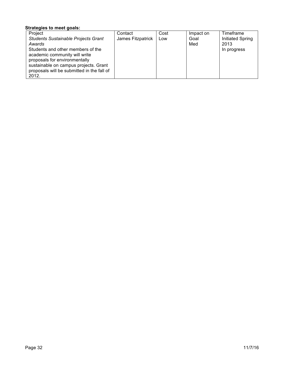| Project                                    | Contact           | Cost | Impact on | Timeframe        |
|--------------------------------------------|-------------------|------|-----------|------------------|
| <b>Students Sustainable Projects Grant</b> | James Fitzpatrick | Low  | Goal      | Initiated Spring |
| Awards                                     |                   |      | Med       | 2013             |
| Students and other members of the          |                   |      |           | In progress      |
| academic community will write              |                   |      |           |                  |
| proposals for environmentally              |                   |      |           |                  |
| sustainable on campus projects. Grant      |                   |      |           |                  |
| proposals will be submitted in the fall of |                   |      |           |                  |
| 2012.                                      |                   |      |           |                  |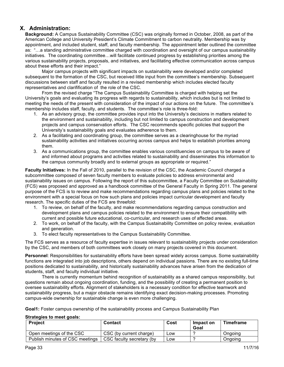# **X. Administration:**

**Background:** A Campus Sustainability Committee (CSC) was originally formed in October, 2008, as part of the American College and University President's Climate Commitment to carbon neutrality. Membership was by appointment, and included student, staff, and faculty membership. The appointment letter outlined the committee as: "…a standing administrative committee charged with coordination and oversight of our campus sustainability initiatives. The coordinating committee…will facilitate continued progress by establishing priorities among the various sustainability projects, proposals, and initiatives, and facilitating effective communication across campus about these efforts and their impact."

Major campus projects with significant impacts on sustainability were developed and/or completed subsequent to the formation of the CSC, but received little input from the committee's membership. Subsequent discussions between staff and faculty resulted in a revised membership which includes elected faculty representatives and clarifification of the role of the CSC.

From the revised charge "The Campus Sustainability Committee is charged with helping set the University's goals and evaluating its progress with regards to sustainability, which includes but is not limited to meeting the needs of the present with consideration of the impact of our actions on the future. The committee's membership includes staff, faculty, and students. The committee's role is three-fold:

- 1. As an advisory group, the committee provides input into the University's decisions in matters related to the environment and sustainability, including but not limited to campus construction and development projects and campus conservation efforts. The CSC recommends specific policies that support the University's sustainability goals and evaluates adherence to them.
- 2. As a facilitating and coordinating group, the committee serves as a clearinghouse for the myriad sustainability activities and initiatives occurring across campus and helps to establish priorities among them.
- 3. As a communications group, the committee enables various constituencies on campus to be aware of and informed about programs and activities related to sustainability and disseminates this information to the campus community broadly and to external groups as appropriate or required."

**Faculty Initiatives:** In the Fall of 2010, parallel to the revision of the CSC, the Academic Council charged a subcommittee composed of seven faculty members to evaluate policies to address environmental and sustainability issues on campus. Following the report of this subcommittee, a Faculty Committee on Sustainability (FCS) was proposed and approved as a handbook committee of the General Faculty in Spring 2011. The general purpose of the FCS is to review and make recommendations regarding campus plans and policies related to the environment with a special focus on how such plans and policies impact curricular development and faculty research. The specific duties of the FCS are threefold:

- 1. To review, on behalf of the faculty, and make recommendations regarding campus construction and development plans and campus policies related to the environment to ensure their compatibility with current and possible future educational, co-curricular, and research uses of affected areas.
- 2. To work, on behalf of the faculty, with the Campus Sustainability Committee on policy review, evaluation and generation.
- 3. To elect faculty representatives to the Campus Sustainability Committee.

The FCS serves as a resource of faculty expertise in issues relevant to sustainability projects under consideration by the CSC, and members of both committees work closely on many projects covered in this document.

**Personnel**: Responsibilities for sustainability efforts have been spread widely across campus. Some sustainability functions are integrated into job descriptions, others depend on individual passions. There are no existing full-time positions dedicated to sustainability, and historically sustainability advances have arisen from the dedication of students, staff, and faculty individual initiative.

There is currently momentum behind recognition of sustainability as a shared campus responsibility, but questions remain about ongoing coordination, funding, and the possibility of creating a permanent position to oversee sustainability efforts. Alignment of stakeholders is a necessary condition for effective teamwork and sustainability progress, but a major obstacle remains identifying exact decision-making processes. Promoting campus-wide ownership for sustainable change is even more challenging.

**Goal1:** Foster campus ownership of the sustainability process and Campus Sustainability Plan

| <b>Project</b>                  | <b>Contact</b>            | Cost | Impact on<br>Goal | Timeframe |
|---------------------------------|---------------------------|------|-------------------|-----------|
| Open meetings of the CSC        | CSC (by current charge)   | Low  |                   | Ongoing   |
| Publish minutes of CSC meetings | CSC faculty secretary (by | Low  |                   | Ongoing   |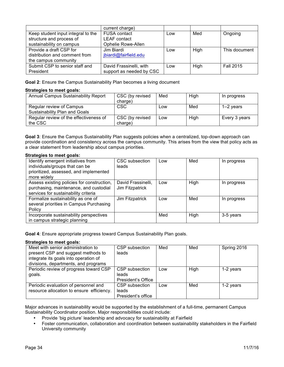|                                    | current charge)          |     |      |                  |
|------------------------------------|--------------------------|-----|------|------------------|
| Keep student input integral to the | <b>FUSA contact</b>      | Low | Med  | Ongoing          |
| structure and process of           | <b>LEAF</b> contact      |     |      |                  |
| sustainability on campus           | Ophelie Rowe-Allen       |     |      |                  |
| Provide a draft CSP for            | Jim Biardi               | Low | High | This document    |
| distribution and comment from      | jbiardi@fairfield.edu    |     |      |                  |
| the campus community               |                          |     |      |                  |
| Submit CSP to senior staff and     | David Frassinelli, with  | Low | High | <b>Fall 2015</b> |
| President                          | support as needed by CSC |     |      |                  |

**Goal 2**: Ensure the Campus Sustainability Plan becomes a living document

#### **Strategies to meet goals:**

| Annual Campus Sustainability Report    | CSC (by revised<br>charge) | Med | High | In progress   |
|----------------------------------------|----------------------------|-----|------|---------------|
|                                        |                            |     |      |               |
| Regular review of Campus               | <b>CSC</b>                 | Low | Med  | 1–2 vears     |
| Sustainability Plan and Goals          |                            |     |      |               |
| Regular review of the effectiveness of | CSC (by revised            | Low | High | Every 3 years |
| the CSC                                | charge)                    |     |      |               |

**Goal 3**: Ensure the Campus Sustainability Plan suggests policies when a centralized, top-down approach can provide coordination and consistency across the campus community. This arises from the view that policy acts as a clear statement from leadership about campus priorities.

#### **Strategies to meet goals:**

| Identify emergent initiatives from<br>individuals/groups that can be<br>prioritized, assessed, and implemented               | CSC subsection<br>leads               | Low | Med  | In progress |
|------------------------------------------------------------------------------------------------------------------------------|---------------------------------------|-----|------|-------------|
| more widely                                                                                                                  |                                       |     |      |             |
| Assess existing policies for construction,<br>purchasing, maintenance, and custodial<br>services for sustainability criteria | David Frassinelli,<br>Jim Fitzpatrick | Low | High | In progress |
| Formalize sustainability as one of<br>several priorities in Campus Purchasing<br>Policy                                      | Jim Fitzpatrick                       | Low | Med  | In progress |
| Incorporate sustainability perspectives<br>in campus strategic planning                                                      |                                       | Med | High | 3-5 years   |

**Goal 4**: Ensure appropriate progress toward Campus Sustainability Plan goals.

# **Strategies to meet goals:**

| Meet with senior administration to        | CSP subsection     | Med | Med         | Spring 2016 |
|-------------------------------------------|--------------------|-----|-------------|-------------|
| present CSP and suggest methods to        | leads              |     |             |             |
| integrate its goals into operation of     |                    |     |             |             |
| divisions, departments, and programs      |                    |     |             |             |
| Periodic review of progress toward CSP    | CSP subsection     | Low | <b>High</b> | 1-2 years   |
| goals.                                    | leads              |     |             |             |
|                                           | President's Office |     |             |             |
| Periodic evaluation of personnel and      | CSP subsection     | Low | Med         | 1-2 years   |
| resource allocation to ensure efficiency. | leads              |     |             |             |
|                                           | President's office |     |             |             |

Major advances in sustainability would be supported by the establishment of a full-time, permanent Campus Sustainability Coordinator position. Major responsibilities could include:

- Provide 'big picture' leadership and advocacy for sustainability at Fairfield<br>• Foster communication, collaboration and coordination between sustainabil
- Foster communication, collaboration and coordination between sustainability stakeholders in the Fairfield University community